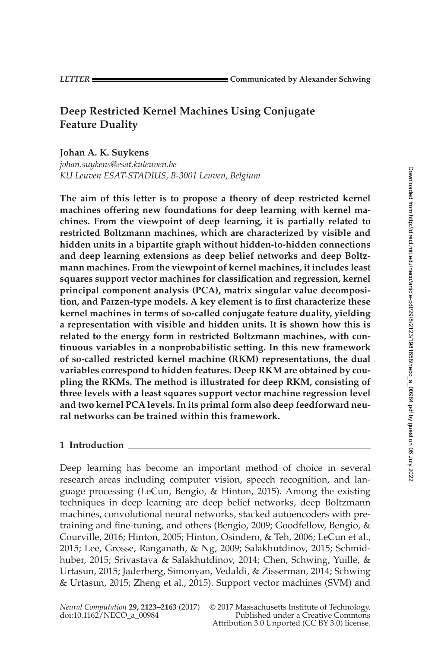# **Deep Restricted Kernel Machines Using Conjugate Feature Duality**

**Johan A. K. Suykens**

*johan.suykens@esat.kuleuven.be KU Leuven ESAT-STADIUS, B-3001 Leuven, Belgium*

**The aim of this letter is to propose a theory of deep restricted kernel machines offering new foundations for deep learning with kernel machines. From the viewpoint of deep learning, it is partially related to restricted Boltzmann machines, which are characterized by visible and hidden units in a bipartite graph without hidden-to-hidden connections and deep learning extensions as deep belief networks and deep Boltzmann machines. From the viewpoint of kernel machines, it includes least squares support vector machines for classification and regression, kernel principal component analysis (PCA), matrix singular value decomposition, and Parzen-type models. A key element is to first characterize these kernel machines in terms of so-called conjugate feature duality, yielding a representation with visible and hidden units. It is shown how this is related to the energy form in restricted Boltzmann machines, with continuous variables in a nonprobabilistic setting. In this new framework of so-called restricted kernel machine (RKM) representations, the dual variables correspond to hidden features. Deep RKM are obtained by coupling the RKMs. The method is illustrated for deep RKM, consisting of three levels with a least squares support vector machine regression level and two kernel PCA levels. In its primal form also deep feedforward neural networks can be trained within this framework.**

## **1 Introduction**

Deep learning has become an important method of choice in several research areas including computer vision, speech recognition, and language processing (LeCun, Bengio, & Hinton, [2015\)](#page-38-0). Among the existing techniques in deep learning are deep belief networks, deep Boltzmann machines, convolutional neural networks, stacked autoencoders with pretraining and fine-tuning, and others (Bengio, [2009;](#page-37-0) Goodfellow, Bengio, & Courville, [2016;](#page-38-0) Hinton, [2005;](#page-38-0) Hinton, Osindero, & Teh, [2006;](#page-38-0) LeCun et al., [2015;](#page-38-0) Lee, Grosse, Ranganath, & Ng, [2009;](#page-39-0) Salakhutdinov, [2015;](#page-39-0) Schmidhuber, [2015;](#page-39-0) Srivastava & Salakhutdinov, [2014;](#page-40-0) Chen, Schwing, Yuille, & Urtasun, [2015;](#page-38-0) Jaderberg, Simonyan, Vedaldi, & Zisserman, [2014;](#page-38-0) Schwing & Urtasun, [2015;](#page-39-0) Zheng et al., [2015\)](#page-40-0). Support vector machines (SVM) and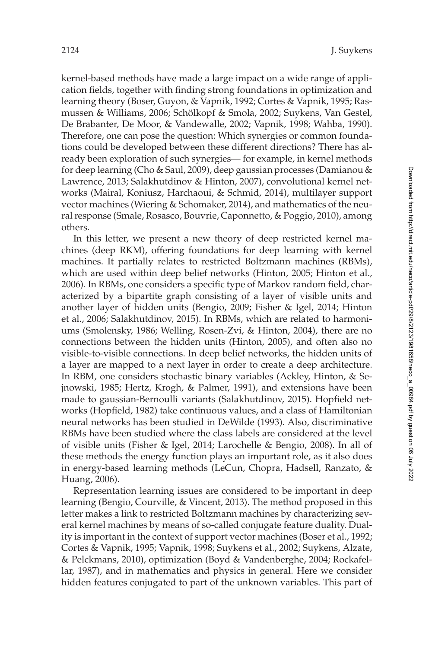kernel-based methods have made a large impact on a wide range of application fields, together with finding strong foundations in optimization and learning theory (Boser, Guyon, & Vapnik, [1992;](#page-38-0) Cortes & Vapnik, [1995;](#page-38-0) Rasmussen & Williams, [2006;](#page-39-0) Schölkopf & Smola, [2002;](#page-39-0) Suykens, Van Gestel, De Brabanter, De Moor, & Vandewalle, [2002;](#page-40-0) Vapnik, [1998;](#page-40-0) Wahba, [1990\)](#page-40-0). Therefore, one can pose the question: Which synergies or common foundations could be developed between these different directions? There has already been exploration of such synergies— for example, in kernel methods for deep learning (Cho & Saul, [2009\)](#page-38-0), deep gaussian processes (Damianou & Lawrence, [2013;](#page-38-0) Salakhutdinov & Hinton, [2007\)](#page-39-0), convolutional kernel networks (Mairal, Koniusz, Harchaoui, & Schmid, [2014\)](#page-39-0), multilayer support vector machines (Wiering & Schomaker, [2014\)](#page-40-0), and mathematics of the neural response (Smale, Rosasco, Bouvrie, Caponnetto, & Poggio, [2010\)](#page-39-0), among others.

In this letter, we present a new theory of deep restricted kernel machines (deep RKM), offering foundations for deep learning with kernel machines. It partially relates to restricted Boltzmann machines (RBMs), which are used within deep belief networks (Hinton, [2005;](#page-38-0) Hinton et al., [2006\)](#page-38-0). In RBMs, one considers a specific type of Markov random field, characterized by a bipartite graph consisting of a layer of visible units and another layer of hidden units (Bengio, [2009;](#page-37-0) Fisher & Igel, [2014;](#page-38-0) Hinton et al., [2006;](#page-38-0) Salakhutdinov, [2015\)](#page-39-0). In RBMs, which are related to harmoniums (Smolensky, [1986;](#page-39-0) Welling, Rosen-Zvi, & Hinton, [2004\)](#page-40-0), there are no connections between the hidden units (Hinton, [2005\)](#page-38-0), and often also no visible-to-visible connections. In deep belief networks, the hidden units of a layer are mapped to a next layer in order to create a deep architecture. In RBM, one considers stochastic binary variables (Ackley, Hinton, & Sejnowski, [1985;](#page-37-0) Hertz, Krogh, & Palmer, [1991\)](#page-38-0), and extensions have been made to gaussian-Bernoulli variants (Salakhutdinov, [2015\)](#page-39-0). Hopfield networks (Hopfield, [1982\)](#page-38-0) take continuous values, and a class of Hamiltonian neural networks has been studied in DeWilde [\(1993\)](#page-38-0). Also, discriminative RBMs have been studied where the class labels are considered at the level of visible units (Fisher & Igel, [2014;](#page-38-0) Larochelle & Bengio, [2008\)](#page-38-0). In all of these methods the energy function plays an important role, as it also does in energy-based learning methods (LeCun, Chopra, Hadsell, Ranzato, & Huang, [2006\)](#page-39-0).

Representation learning issues are considered to be important in deep learning (Bengio, Courville, & Vincent, [2013\)](#page-37-0). The method proposed in this letter makes a link to restricted Boltzmann machines by characterizing several kernel machines by means of so-called conjugate feature duality. Duality is important in the context of support vector machines (Boser et al., [1992;](#page-38-0) Cortes & Vapnik, [1995;](#page-38-0) Vapnik, [1998;](#page-40-0) Suykens et al., [2002;](#page-40-0) Suykens, Alzate, & Pelckmans, [2010\)](#page-40-0), optimization (Boyd & Vandenberghe, [2004;](#page-38-0) Rockafellar, [1987\)](#page-39-0), and in mathematics and physics in general. Here we consider hidden features conjugated to part of the unknown variables. This part of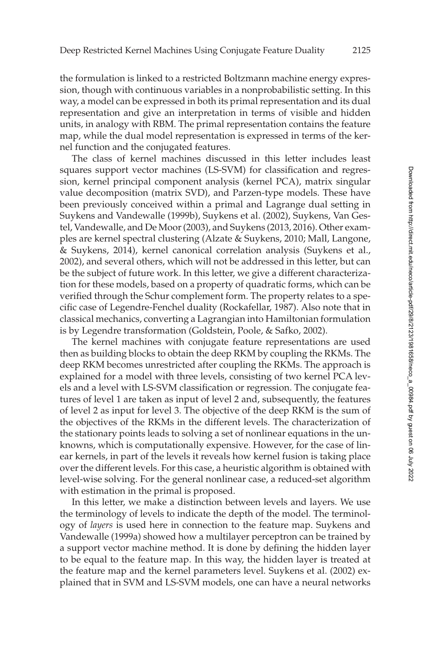the formulation is linked to a restricted Boltzmann machine energy expression, though with continuous variables in a nonprobabilistic setting. In this way, a model can be expressed in both its primal representation and its dual representation and give an interpretation in terms of visible and hidden units, in analogy with RBM. The primal representation contains the feature map, while the dual model representation is expressed in terms of the kernel function and the conjugated features.

The class of kernel machines discussed in this letter includes least squares support vector machines (LS-SVM) for classification and regression, kernel principal component analysis (kernel PCA), matrix singular value decomposition (matrix SVD), and Parzen-type models. These have been previously conceived within a primal and Lagrange dual setting in Suykens and Vandewalle [\(1999b\)](#page-40-0), Suykens et al. [\(2002\)](#page-40-0), Suykens, Van Gestel, Vandewalle, and De Moor [\(2003\)](#page-40-0), and Suykens [\(2013, 2016\)](#page-40-0). Other examples are kernel spectral clustering (Alzate & Suykens, [2010;](#page-37-0) Mall, Langone, & Suykens, [2014\)](#page-39-0), kernel canonical correlation analysis (Suykens et al., [2002\)](#page-40-0), and several others, which will not be addressed in this letter, but can be the subject of future work. In this letter, we give a different characterization for these models, based on a property of quadratic forms, which can be verified through the Schur complement form. The property relates to a specific case of Legendre-Fenchel duality (Rockafellar, [1987\)](#page-39-0). Also note that in classical mechanics, converting a Lagrangian into Hamiltonian formulation is by Legendre transformation (Goldstein, Poole, & Safko, [2002\)](#page-38-0).

The kernel machines with conjugate feature representations are used then as building blocks to obtain the deep RKM by coupling the RKMs. The deep RKM becomes unrestricted after coupling the RKMs. The approach is explained for a model with three levels, consisting of two kernel PCA levels and a level with LS-SVM classification or regression. The conjugate features of level 1 are taken as input of level 2 and, subsequently, the features of level 2 as input for level 3. The objective of the deep RKM is the sum of the objectives of the RKMs in the different levels. The characterization of the stationary points leads to solving a set of nonlinear equations in the unknowns, which is computationally expensive. However, for the case of linear kernels, in part of the levels it reveals how kernel fusion is taking place over the different levels. For this case, a heuristic algorithm is obtained with level-wise solving. For the general nonlinear case, a reduced-set algorithm with estimation in the primal is proposed.

In this letter, we make a distinction between levels and layers. We use the terminology of levels to indicate the depth of the model. The terminology of *layers* is used here in connection to the feature map. Suykens and Vandewalle [\(1999a\)](#page-40-0) showed how a multilayer perceptron can be trained by a support vector machine method. It is done by defining the hidden layer to be equal to the feature map. In this way, the hidden layer is treated at the feature map and the kernel parameters level. Suykens et al. [\(2002\)](#page-40-0) explained that in SVM and LS-SVM models, one can have a neural networks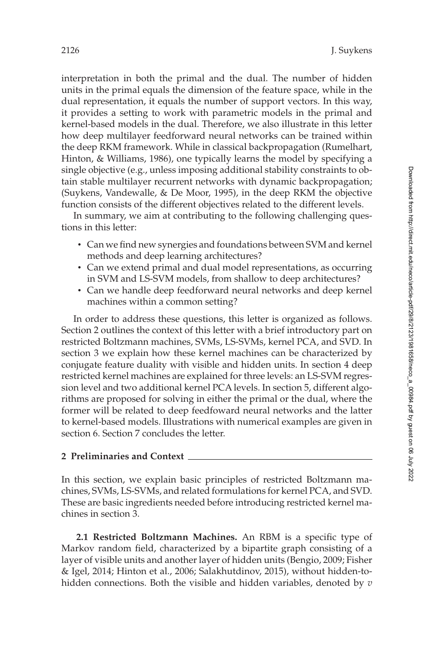interpretation in both the primal and the dual. The number of hidden units in the primal equals the dimension of the feature space, while in the dual representation, it equals the number of support vectors. In this way, it provides a setting to work with parametric models in the primal and kernel-based models in the dual. Therefore, we also illustrate in this letter how deep multilayer feedforward neural networks can be trained within the deep RKM framework. While in classical backpropagation (Rumelhart, Hinton, & Williams, [1986\)](#page-39-0), one typically learns the model by specifying a single objective (e.g., unless imposing additional stability constraints to obtain stable multilayer recurrent networks with dynamic backpropagation; (Suykens, Vandewalle, & De Moor, [1995\)](#page-40-0), in the deep RKM the objective function consists of the different objectives related to the different levels.

In summary, we aim at contributing to the following challenging questions in this letter:

- Can we find new synergies and foundations between SVM and kernel methods and deep learning architectures?
- Can we extend primal and dual model representations, as occurring in SVM and LS-SVM models, from shallow to deep architectures?
- Can we handle deep feedforward neural networks and deep kernel machines within a common setting?

In order to address these questions, this letter is organized as follows. Section 2 outlines the context of this letter with a brief introductory part on restricted Boltzmann machines, SVMs, LS-SVMs, kernel PCA, and SVD. In section [3](#page-9-0) we explain how these kernel machines can be characterized by conjugate feature duality with visible and hidden units. In section [4](#page-20-0) deep restricted kernel machines are explained for three levels: an LS-SVM regression level and two additional kernel PCA levels. In section [5,](#page-27-0) different algorithms are proposed for solving in either the primal or the dual, where the former will be related to deep feedfoward neural networks and the latter to kernel-based models. Illustrations with numerical examples are given in section [6.](#page-31-0) Section [7](#page-36-0) concludes the letter.

## **2 Preliminaries and Context**

In this section, we explain basic principles of restricted Boltzmann machines, SVMs, LS-SVMs, and related formulations for kernel PCA, and SVD. These are basic ingredients needed before introducing restricted kernel machines in section [3.](#page-9-0)

**2.1 Restricted Boltzmann Machines.** An RBM is a specific type of Markov random field, characterized by a bipartite graph consisting of a layer of visible units and another layer of hidden units (Bengio, [2009;](#page-37-0) Fisher & Igel, [2014;](#page-38-0) Hinton et al., [2006;](#page-38-0) Salakhutdinov, [2015\)](#page-39-0), without hidden-tohidden connections. Both the visible and hidden variables, denoted by *v*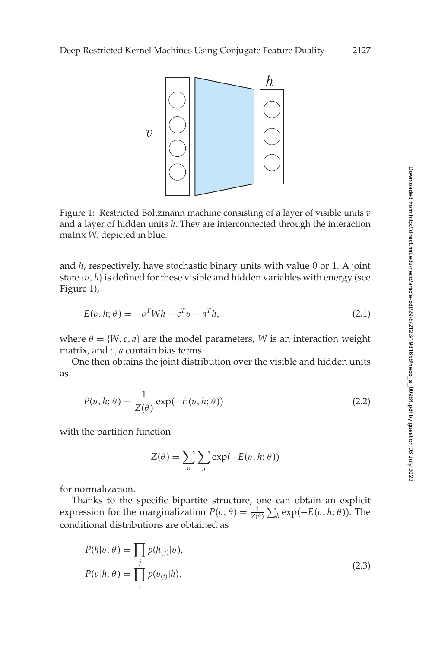<span id="page-4-0"></span>

Figure 1: Restricted Boltzmann machine consisting of a layer of visible units *v* and a layer of hidden units *h*. They are interconnected through the interaction matrix *W*, depicted in blue.

and *h*, respectively, have stochastic binary units with value 0 or 1. A joint state {v, *h*} is defined for these visible and hidden variables with energy (see Figure 1),

$$
E(v, h; \theta) = -v^T W h - c^T v - a^T h,
$$
\n(2.1)

where  $\theta = \{W, c, a\}$  are the model parameters, *W* is an interaction weight matrix, and *c*, *a* contain bias terms.

One then obtains the joint distribution over the visible and hidden units as

$$
P(v, h; \theta) = \frac{1}{Z(\theta)} \exp(-E(v, h; \theta))
$$
\n(2.2)

with the partition function

$$
Z(\theta) = \sum_{v} \sum_{h} \exp(-E(v, h; \theta))
$$

for normalization.

Thanks to the specific bipartite structure, one can obtain an explicit expression for the marginalization  $P(v; \theta) = \frac{1}{Z(\theta)} \sum_{h} exp(-E(v, h; \theta))$ . The conditional distributions are obtained as

$$
P(h|v; \theta) = \prod_{j} p(h_{(j)}|v),
$$
  
\n
$$
P(v|h; \theta) = \prod_{i} p(v_{(i)}|h),
$$
\n(2.3)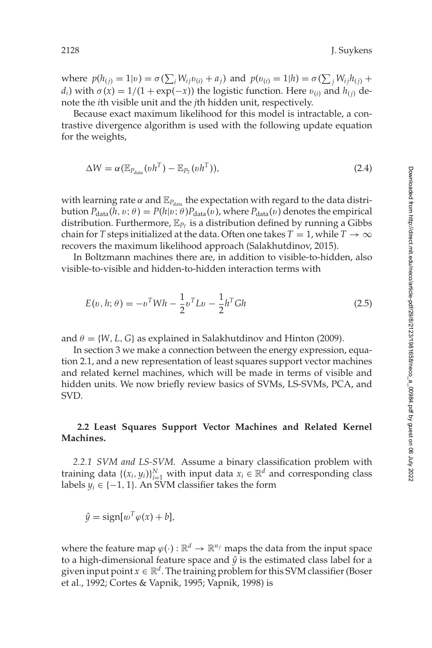<span id="page-5-0"></span>where  $p(h_{(j)} = 1 | v) = \sigma(\sum_i W_{ij} v_{(i)} + a_j)$  and  $p(v_{(i)} = 1 | h) = \sigma(\sum_j W_{ij} h_{(j)} + a_j)$ *d<sub>i</sub>*) with  $\sigma(x) = 1/(1 + \exp(-x))$  the logistic function. Here  $v_{(i)}$  and  $h_{(i)}$  denote the *i*th visible unit and the *j*th hidden unit, respectively.

Because exact maximum likelihood for this model is intractable, a contrastive divergence algorithm is used with the following update equation for the weights,

$$
\Delta W = \alpha (\mathbb{E}_{P_{\text{data}}}(vh^T) - \mathbb{E}_{P_T}(vh^T)), \qquad (2.4)
$$

with learning rate  $\alpha$  and  $\mathbb{E}_{P_{data}}$  the expectation with regard to the data distribution  $P_{data}(h, v; \theta) = P(h|v; \theta)P_{data}(v)$ , where  $P_{data}(v)$  denotes the empirical distribution. Furthermore,  $\mathbb{E}_{P_T}$  is a distribution defined by running a Gibbs chain for *T* steps initialized at the data. Often one takes  $T = 1$ , while  $T \rightarrow \infty$ recovers the maximum likelihood approach (Salakhutdinov, [2015\)](#page-39-0).

In Boltzmann machines there are, in addition to visible-to-hidden, also visible-to-visible and hidden-to-hidden interaction terms with

$$
E(v, h; \theta) = -v^T W h - \frac{1}{2} v^T L v - \frac{1}{2} h^T G h
$$
\n(2.5)

and  $\theta = \{W, L, G\}$  as explained in Salakhutdinov and Hinton [\(2009\)](#page-39-0).

In section [3](#page-9-0) we make a connection between the energy expression, equation [2.1,](#page-4-0) and a new representation of least squares support vector machines and related kernel machines, which will be made in terms of visible and hidden units. We now briefly review basics of SVMs, LS-SVMs, PCA, and SVD.

## **2.2 Least Squares Support Vector Machines and Related Kernel Machines.**

*2.2.1 SVM and LS-SVM.* Assume a binary classification problem with training data  $\{(x_i, y_i)\}_{i=1}^N$  with input data  $x_i \in \mathbb{R}^d$  and corresponding class labels  $y_i$  ∈ {−1, 1}. An SVM classifier takes the form

$$
\hat{y} = \text{sign}[w^T \varphi(x) + b],
$$

where the feature map  $\varphi(\cdot): \mathbb{R}^d \to \mathbb{R}^{n_f}$  maps the data from the input space to a high-dimensional feature space and  $\hat{y}$  is the estimated class label for a given input point  $x \in \mathbb{R}^d$ . The training problem for this SVM classifier (Boser et al., [1992;](#page-38-0) Cortes & Vapnik, [1995;](#page-38-0) Vapnik, [1998\)](#page-40-0) is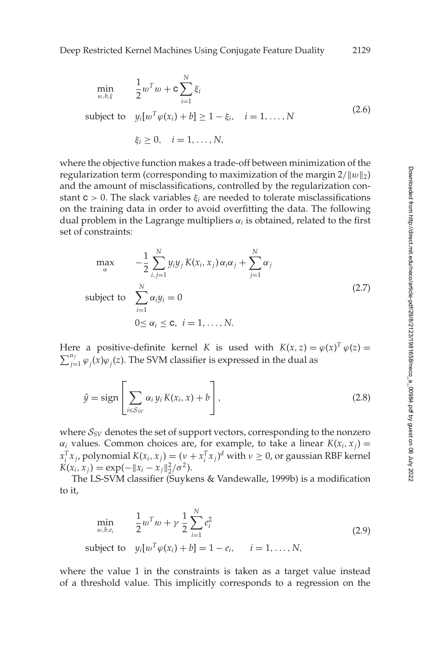<span id="page-6-0"></span>
$$
\min_{w,b,\xi} \qquad \frac{1}{2}w^Tw + c \sum_{i=1}^N \xi_i
$$
\n
$$
\text{subject to} \quad y_i[w^T \varphi(x_i) + b] \ge 1 - \xi_i, \quad i = 1, \dots, N
$$
\n
$$
\xi_i \ge 0, \quad i = 1, \dots, N,
$$
\n(2.6)

where the objective function makes a trade-off between minimization of the regularization term (corresponding to maximization of the margin  $2/\Vert w \Vert_2$ ) and the amount of misclassifications, controlled by the regularization constant  $c > 0$ . The slack variables  $\xi_i$  are needed to tolerate misclassifications on the training data in order to avoid overfitting the data. The following dual problem in the Lagrange multipliers  $\alpha_i$  is obtained, related to the first set of constraints:

$$
\max_{\alpha} \qquad -\frac{1}{2} \sum_{i,j=1}^{N} y_i y_j K(x_i, x_j) \alpha_i \alpha_j + \sum_{j=1}^{N} \alpha_j
$$
\n
$$
\text{subject to} \quad \sum_{i=1}^{N} \alpha_i y_i = 0
$$
\n
$$
0 \le \alpha_i \le \mathbf{c}, \quad i = 1, \dots, N.
$$
\n
$$
(2.7)
$$

Here a positive-definite kernel *K* is used with  $K(x, z) = \varphi(x)^T \varphi(z) =$  $\sum_{j=1}^{n_f} \varphi_j(x) \varphi_j(z)$ . The SVM classifier is expressed in the dual as

$$
\hat{y} = \text{sign}\left[\sum_{i \in S_{SV}} \alpha_i y_i K(x_i, x) + b\right],\tag{2.8}
$$

where  $S_{SV}$  denotes the set of support vectors, corresponding to the nonzero  $\alpha_i$  values. Common choices are, for example, to take a linear  $K(x_i, x_j) =$  $x_i^T x_j$ , polynomial  $K(x_i, x_j) = (y + x_i^T x_j)^d$  with  $v \ge 0$ , or gaussian RBF kernel  $K(x_i, x_j) = \exp(-\|x_i - x_j\|_2^2/\sigma^2).$ 

The LS-SVM classifier (Suykens & Vandewalle, [1999b\)](#page-40-0) is a modification to it,

$$
\min_{w,b,e_i} \frac{1}{2} w^T w + \gamma \frac{1}{2} \sum_{i=1}^N e_i^2
$$
\nsubject to  $y_i[w^T \varphi(x_i) + b] = 1 - e_i, \quad i = 1, ..., N,$ \n
$$
(2.9)
$$

where the value 1 in the constraints is taken as a target value instead of a threshold value. This implicitly corresponds to a regression on the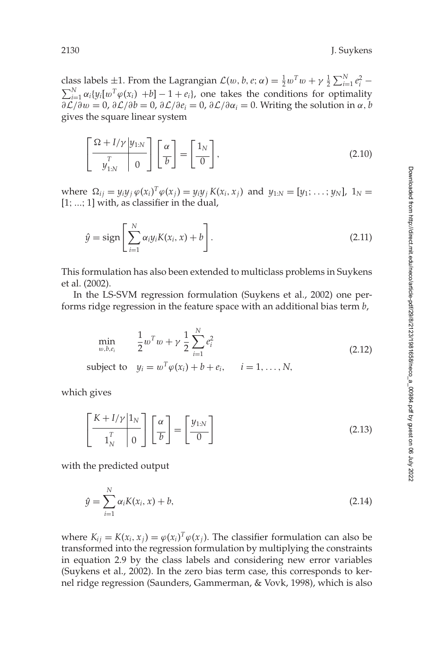<span id="page-7-0"></span>class labels  $\pm 1$ . From the Lagrangian  $\mathcal{L}(w, b, e; \alpha) = \frac{1}{2}w^Tw + \gamma \frac{1}{2} \sum_{i=1}^N e_i^2$  –  $\sum_{i=1}^{N} \alpha_i \{y_i[w^T\varphi(x_i) + b] - 1 + e_i\}$ , one takes the conditions for optimality  $\frac{\partial \mathcal{L}}{\partial w} = 0$ ,  $\frac{\partial \mathcal{L}}{\partial b} = 0$ ,  $\frac{\partial \mathcal{L}}{\partial e_i} = 0$ ,  $\frac{\partial \mathcal{L}}{\partial \alpha_i} = 0$ . Writing the solution in  $\alpha, b$ gives the square linear system

$$
\left[\frac{\Omega + I/\gamma \mid y_{1:N}}{y_{1:N}^T} \right] \left[\frac{\alpha}{b}\right] = \left[\frac{1_N}{0}\right],\tag{2.10}
$$

where  $\Omega_{ij} = y_i y_j \varphi(x_i)^T \varphi(x_j) = y_i y_j K(x_i, x_j)$  and  $y_{1:N} = [y_1; \dots; y_N]$ ,  $1_N =$  $[1; \ldots; 1]$  with, as classifier in the dual,

$$
\hat{y} = \text{sign}\left[\sum_{i=1}^{N} \alpha_i y_i K(x_i, x) + b\right].
$$
\n(2.11)

This formulation has also been extended to multiclass problems in Suykens et al. [\(2002\)](#page-40-0).

In the LS-SVM regression formulation (Suykens et al., [2002\)](#page-40-0) one performs ridge regression in the feature space with an additional bias term *b*,

$$
\min_{w,b,e_i} \frac{1}{2} w^T w + \gamma \frac{1}{2} \sum_{i=1}^N e_i^2
$$
\nsubject to  $y_i = w^T \varphi(x_i) + b + e_i, \quad i = 1, ..., N,$ \n
$$
(2.12)
$$

which gives

$$
\left[\frac{K+I/\gamma}{\mathbf{1}_N^T}\right]\left[\frac{\alpha}{b}\right] = \left[\frac{y_{1:N}}{0}\right]
$$
\n(2.13)

with the predicted output

$$
\hat{y} = \sum_{i=1}^{N} \alpha_i K(x_i, x) + b,\tag{2.14}
$$

where  $K_{ij} = K(x_i, x_j) = \varphi(x_i)^T \varphi(x_j)$ . The classifier formulation can also be transformed into the regression formulation by multiplying the constraints in equation [2.9](#page-6-0) by the class labels and considering new error variables (Suykens et al., [2002\)](#page-40-0). In the zero bias term case, this corresponds to kernel ridge regression (Saunders, Gammerman, & Vovk, [1998\)](#page-39-0), which is also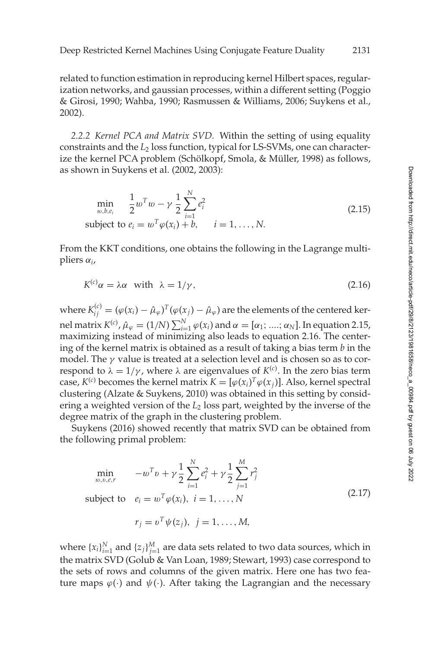<span id="page-8-0"></span>related to function estimation in reproducing kernel Hilbert spaces, regularization networks, and gaussian processes, within a different setting (Poggio & Girosi, [1990;](#page-39-0) Wahba, [1990;](#page-40-0) Rasmussen & Williams, [2006;](#page-39-0) Suykens et al., [2002\)](#page-40-0).

*2.2.2 Kernel PCA and Matrix SVD.* Within the setting of using equality constraints and the *L*<sup>2</sup> loss function, typical for LS-SVMs, one can characterize the kernel PCA problem (Schölkopf, Smola, & Müller, [1998\)](#page-39-0) as follows, as shown in Suykens et al. [\(2002, 2003\)](#page-40-0):

$$
\min_{w,b,e_i} \quad \frac{1}{2} w^T w - \gamma \frac{1}{2} \sum_{i=1}^N e_i^2
$$
\nsubject to  $e_i = w^T \varphi(x_i) + b$ ,  $i = 1, ..., N$ . (2.15)

From the KKT conditions, one obtains the following in the Lagrange multipliers α*i*,

$$
K^{(c)}\alpha = \lambda \alpha \quad \text{with} \quad \lambda = 1/\gamma, \tag{2.16}
$$

where  $K_{ij}^{(c)}=(\varphi(x_i)-\hat\mu_\varphi)^T(\varphi(x_j)-\hat\mu_\varphi)$  are the elements of the centered kernel matrix  $K^{(c)}$ ,  $\hat{\mu}_{\varphi} = (1/N) \sum_{i=1}^N \varphi(x_i)$  and  $\alpha = [\alpha_1;....; \alpha_N]$ . In equation 2.15, maximizing instead of minimizing also leads to equation 2.16. The centering of the kernel matrix is obtained as a result of taking a bias term *b* in the model. The  $\gamma$  value is treated at a selection level and is chosen so as to correspond to  $\lambda = 1/\gamma$ , where  $\lambda$  are eigenvalues of  $K^{(c)}$ . In the zero bias term case,  $K^{(c)}$  becomes the kernel matrix  $K = [\varphi(x_i)^T \varphi(x_j)]$ . Also, kernel spectral clustering (Alzate & Suykens, [2010\)](#page-37-0) was obtained in this setting by considering a weighted version of the *L*<sup>2</sup> loss part, weighted by the inverse of the degree matrix of the graph in the clustering problem.

Suykens [\(2016\)](#page-40-0) showed recently that matrix SVD can be obtained from the following primal problem:

$$
\min_{w,v,e,r} \quad -w^T v + \gamma \frac{1}{2} \sum_{i=1}^N e_i^2 + \gamma \frac{1}{2} \sum_{j=1}^M r_j^2
$$
\n
$$
\text{subject to} \quad e_i = w^T \varphi(x_i), \ i = 1, ..., N \tag{2.17}
$$

$$
r_j = v^T \psi(z_j), \ \ j = 1, \ldots, M,
$$

where  $\{x_i\}_{i=1}^N$  and  $\{z_j\}_{j=1}^M$  are data sets related to two data sources, which in the matrix SVD (Golub & Van Loan, [1989;](#page-38-0) Stewart, [1993\)](#page-40-0) case correspond to the sets of rows and columns of the given matrix. Here one has two feature maps  $\varphi(\cdot)$  and  $\psi(\cdot)$ . After taking the Lagrangian and the necessary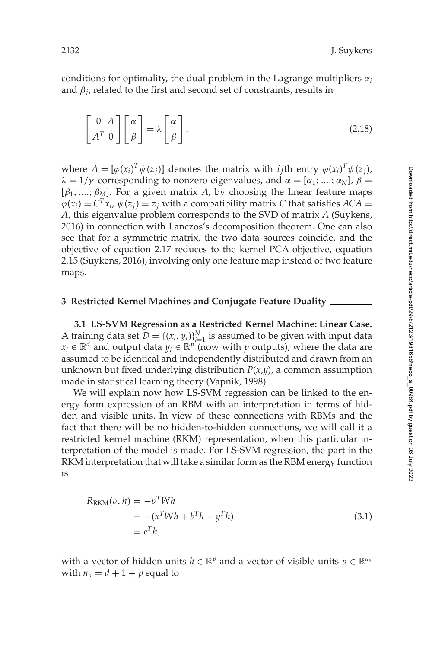<span id="page-9-0"></span>conditions for optimality, the dual problem in the Lagrange multipliers  $\alpha_i$ and  $\beta_i$ , related to the first and second set of constraints, results in

$$
\begin{bmatrix} 0 & A \\ A^T & 0 \end{bmatrix} \begin{bmatrix} \alpha \\ \beta \end{bmatrix} = \lambda \begin{bmatrix} \alpha \\ \beta \end{bmatrix},
$$
\n(2.18)

where  $A = [\varphi(x_i)^T \psi(z_j)]$  denotes the matrix with *i* jth entry  $\varphi(x_i)^T \psi(z_j)$ ,  $\lambda = 1/\gamma$  corresponding to nonzero eigenvalues, and  $\alpha = [\alpha_1; \dots; \alpha_N]$ ,  $\beta =$ [ $\beta_1$ ; ....;  $\beta_M$ ]. For a given matrix *A*, by choosing the linear feature maps  $\varphi(x_i) = C^T x_i$ ,  $\psi(z_i) = z_i$  with a compatibility matrix C that satisfies  $ACA =$ *A*, this eigenvalue problem corresponds to the SVD of matrix *A* (Suykens, [2016\)](#page-40-0) in connection with Lanczos's decomposition theorem. One can also see that for a symmetric matrix, the two data sources coincide, and the objective of equation [2.17](#page-8-0) reduces to the kernel PCA objective, equation [2.15](#page-8-0) (Suykens, [2016\)](#page-40-0), involving only one feature map instead of two feature maps.

#### **3 Restricted Kernel Machines and Conjugate Feature Duality**

**3.1 LS-SVM Regression as a Restricted Kernel Machine: Linear Case.** A training data set  $\mathcal{D} = \{(x_i, y_i)\}_{i=1}^N$  is assumed to be given with input data *x<sub>i</sub>* ∈  $\mathbb{R}^d$  and output data  $y_i$  ∈  $\mathbb{R}^p$  (now with *p* outputs), where the data are assumed to be identical and independently distributed and drawn from an unknown but fixed underlying distribution *P*(*x*,*y*), a common assumption made in statistical learning theory (Vapnik, [1998\)](#page-40-0).

We will explain now how LS-SVM regression can be linked to the energy form expression of an RBM with an interpretation in terms of hidden and visible units. In view of these connections with RBMs and the fact that there will be no hidden-to-hidden connections, we will call it a restricted kernel machine (RKM) representation, when this particular interpretation of the model is made. For LS-SVM regression, the part in the RKM interpretation that will take a similar form as the RBM energy function is

$$
R_{\text{RKM}}(v, h) = -v^T \tilde{W}h
$$
  
=  $-(x^T W h + b^T h - y^T h)$   
=  $e^T h$ , (3.1)

with a vector of hidden units  $h \in \mathbb{R}^p$  and a vector of visible units  $v \in \mathbb{R}^{n_v}$ with  $n_v = d + 1 + p$  equal to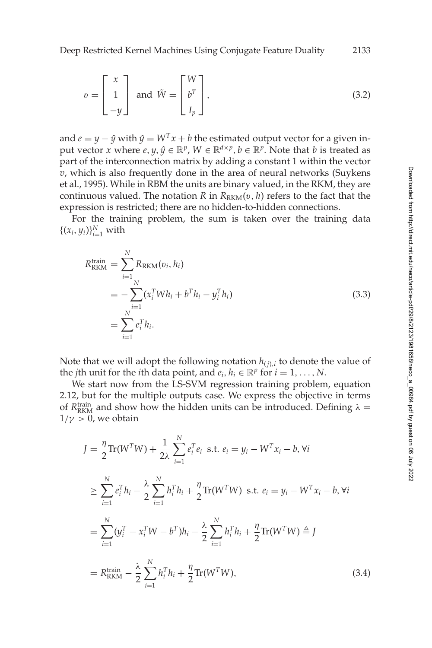<span id="page-10-0"></span>
$$
v = \begin{bmatrix} x \\ 1 \\ -y \end{bmatrix} \text{ and } \tilde{W} = \begin{bmatrix} W \\ b^T \\ I_p \end{bmatrix},
$$
 (3.2)

and  $e = y - \hat{y}$  with  $\hat{y} = W^T x + b$  the estimated output vector for a given input vector *x* where *e*, *y*,  $\hat{y} \in \mathbb{R}^p$ ,  $W \in \mathbb{R}^{d \times p}$ ,  $b \in \mathbb{R}^p$ . Note that *b* is treated as part of the interconnection matrix by adding a constant 1 within the vector *v*, which is also frequently done in the area of neural networks (Suykens et al., [1995\)](#page-40-0). While in RBM the units are binary valued, in the RKM, they are continuous valued. The notation *R* in  $R_{RKM}(v, h)$  refers to the fact that the expression is restricted; there are no hidden-to-hidden connections.

For the training problem, the sum is taken over the training data  $\{(x_i, y_i)\}_{i=1}^N$  with

$$
R_{\text{RKM}}^{\text{train}} = \sum_{i=1}^{N} R_{\text{RKM}}(v_i, h_i)
$$
  
= 
$$
- \sum_{i=1}^{N} (x_i^T W h_i + b^T h_i - y_i^T h_i)
$$
  
= 
$$
\sum_{i=1}^{N} e_i^T h_i.
$$
 (3.3)

Note that we will adopt the following notation  $h_{(i),i}$  to denote the value of the *j*th unit for the *i*th data point, and  $e_i$ ,  $h_i \in \mathbb{R}^p$  for  $i = 1, \ldots, N$ .

We start now from the LS-SVM regression training problem, equation [2.12,](#page-7-0) but for the multiple outputs case. We express the objective in terms of  $R_{\text{RKM}}^{\text{train}}$  and show how the hidden units can be introduced. Defining  $\lambda =$  $1/\gamma > 0$ , we obtain

$$
J = \frac{\eta}{2} \text{Tr}(W^T W) + \frac{1}{2\lambda} \sum_{i=1}^N e_i^T e_i \text{ s.t. } e_i = y_i - W^T x_i - b, \forall i
$$
  
\n
$$
\geq \sum_{i=1}^N e_i^T h_i - \frac{\lambda}{2} \sum_{i=1}^N h_i^T h_i + \frac{\eta}{2} \text{Tr}(W^T W) \text{ s.t. } e_i = y_i - W^T x_i - b, \forall i
$$
  
\n
$$
= \sum_{i=1}^N (y_i^T - x_i^T W - b^T) h_i - \frac{\lambda}{2} \sum_{i=1}^N h_i^T h_i + \frac{\eta}{2} \text{Tr}(W^T W) \triangleq \underline{I}
$$
  
\n
$$
= R_{\text{RKM}}^{\text{train}} - \frac{\lambda}{2} \sum_{i=1}^N h_i^T h_i + \frac{\eta}{2} \text{Tr}(W^T W), \tag{3.4}
$$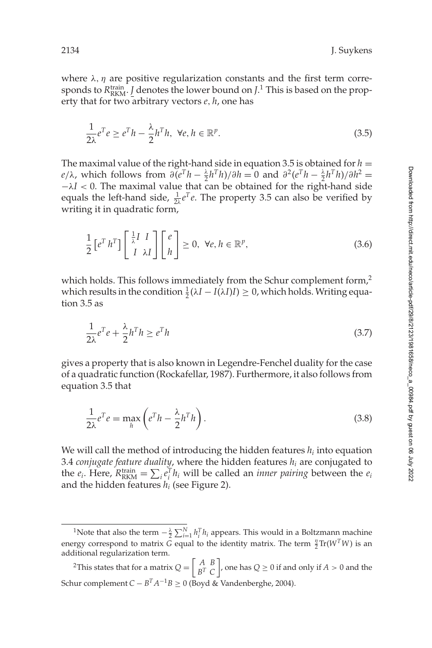where  $\lambda$ ,  $\eta$  are positive regularization constants and the first term corresponds to  $R_{\text{RKM}}^{\text{train}}$ . *J* denotes the lower bound on *J*.<sup>1</sup> This is based on the property that for two arbitrary vectors *e*, *h*, one has

$$
\frac{1}{2\lambda}e^Te \ge e^Th - \frac{\lambda}{2}h^Th, \ \forall e, h \in \mathbb{R}^p.
$$
 (3.5)

The maximal value of the right-hand side in equation 3.5 is obtained for  $h =$  $e/\lambda$ , which follows from  $\partial (e^T h - \frac{\lambda}{2} h^T h)/\partial h = 0$  and  $\partial^2 (e^T h - \frac{\lambda}{2} h^T h)/\partial h^2 = 0$  $-\lambda I < 0$ . The maximal value that can be obtained for the right-hand side equals the left-hand side,  $\frac{1}{2\lambda}e^T e$ . The property 3.5 can also be verified by writing it in quadratic form,

$$
\frac{1}{2} \left[ e^T h^T \right] \left[ \begin{array}{c} \frac{1}{\lambda} I & I \\ I & \lambda I \end{array} \right] \left[ \begin{array}{c} e \\ h \end{array} \right] \ge 0, \ \forall e, h \in \mathbb{R}^p,
$$
\n(3.6)

which holds. This follows immediately from the Schur complement form,<sup>2</sup> which results in the condition  $\frac{1}{2}(\lambda I - I(\lambda I)I) \geq 0$ , which holds. Writing equation 3.5 as

$$
\frac{1}{2\lambda}e^Te + \frac{\lambda}{2}h^Th \ge e^Th\tag{3.7}
$$

gives a property that is also known in Legendre-Fenchel duality for the case of a quadratic function (Rockafellar, [1987\)](#page-39-0). Furthermore, it also follows from equation 3.5 that

$$
\frac{1}{2\lambda}e^Te = \max_{h} \left(e^T h - \frac{\lambda}{2}h^T h\right).
$$
\n(3.8)

We will call the method of introducing the hidden features *hi* into equation [3.4](#page-10-0) *conjugate feature duality*, where the hidden features *hi* are conjugated to the  $e_i$ . Here,  $R_{\text{RKM}}^{\text{train}} = \sum_i e_i^T h_i$  will be called an *inner pairing* between the  $e_i$ and the hidden features *hi* (see Figure 2).

<sup>&</sup>lt;sup>1</sup>Note that also the term  $-\frac{\lambda}{2}\sum_{i=1}^{N} h_i^T h_i$  appears. This would in a Boltzmann machine energy correspond to matrix  $\bar{G}$  equal to the identity matrix. The term  $\frac{\eta}{2} \text{Tr}(W^T W)$  is an additional regularization term.

<sup>&</sup>lt;sup>2</sup>This states that for a matrix  $Q = \begin{bmatrix} A & B \\ b^T & C \end{bmatrix}$ *BT C*  $\bigg$ , one has  $Q \geq 0$  if and only if  $A > 0$  and the Schur complement *C* − *B*<sup>T</sup> $A^{-1}B$  ≥ 0 (Boyd & Vandenberghe, [2004\)](#page-38-0).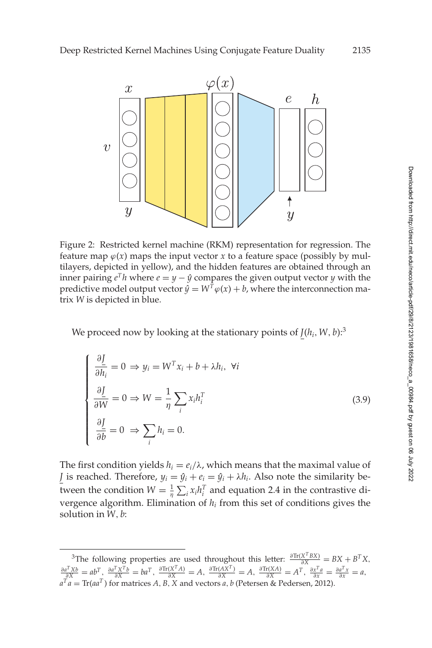

Figure 2: Restricted kernel machine (RKM) representation for regression. The feature map  $\varphi(x)$  maps the input vector *x* to a feature space (possibly by multilayers, depicted in yellow), and the hidden features are obtained through an inner pairing  $e^T h$  where  $e = y - \hat{y}$  compares the given output vector *y* with the predictive model output vector  $\hat{y} = W^T \varphi(x) + b$ , where the interconnection matrix *W* is depicted in blue.

We proceed now by looking at the stationary points of  $J(h_i, W, b)$ :<sup>3</sup>

$$
\begin{cases}\n\frac{\partial \underline{I}}{\partial h_i} = 0 \Rightarrow y_i = W^T x_i + b + \lambda h_i, \ \forall i \\
\frac{\partial \underline{I}}{\partial W} = 0 \Rightarrow W = \frac{1}{\eta} \sum_i x_i h_i^T \\
\frac{\partial \underline{I}}{\partial b} = 0 \Rightarrow \sum_i h_i = 0.\n\end{cases}
$$
\n(3.9)

The first condition yields  $h_i = e_i/\lambda$ , which means that the maximal value of *J* is reached. Therefore,  $y_i = \hat{y}_i + e_i = \hat{y}_i + \lambda h_i$ . Also note the similarity between the condition  $W = \frac{1}{\eta} \sum_i x_i h_i^T$  and equation [2.4](#page-5-0) in the contrastive divergence algorithm. Elimination of *hi* from this set of conditions gives the solution in *W*, *b*:

<sup>&</sup>lt;sup>3</sup>The following properties are used throughout this letter:  $\frac{\partial \text{Tr}(X^T B X)}{\partial X} = BX + B^T X$ ,  $\frac{\partial a^T Xb}{\partial X} = ab^T, \ \frac{\partial a^T X^T b}{\partial X} = ba^T, \ \frac{\partial \text{Tr}(X^T A)}{\partial X} = A, \ \frac{\partial \text{Tr}(AX^T)}{\partial X} = A, \ \frac{\partial \text{Tr}(XA)}{\partial X} = A^T, \ \frac{\partial x^T a}{\partial x} = \frac{\partial a^T x}{\partial x} = a,$  $a^T a = Tr(a a^T)$  for matrices *A*, *B*, *X* and vectors *a*, *b* (Petersen & Pedersen, [2012\)](#page-39-0).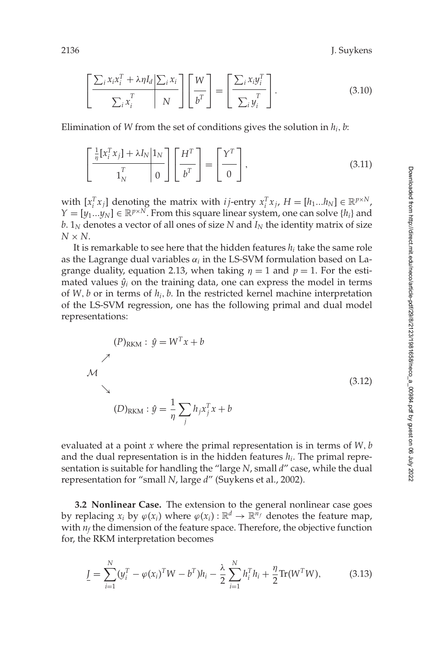<span id="page-13-0"></span>2136 J. Suykens

$$
\left[\frac{\sum_{i} x_{i} x_{i}^{T} + \lambda \eta I_{d} \left| \sum_{i} x_{i} \right|}{\sum_{i} x_{i}^{T}}\right] \left[\frac{W}{b^{T}}\right] = \left[\frac{\sum_{i} x_{i} y_{i}^{T}}{\sum_{i} y_{i}^{T}}\right].
$$
\n(3.10)

Elimination of *W* from the set of conditions gives the solution in *hi*, *b*:

$$
\left[\frac{\frac{1}{\eta}[x_i^T x_j] + \lambda I_N \mid 1_N}{1_N^T} \right] \left[\frac{H^T}{b^T}\right] = \left[\frac{Y^T}{0}\right],\tag{3.11}
$$

with  $[x_i^T x_j]$  denoting the matrix with *i j*-entry  $x_i^T x_j$ ,  $H = [h_1...h_N] \in \mathbb{R}^{p \times N}$ ,  $Y = [y_1...y_N] \in \mathbb{R}^{p \times N}$ . From this square linear system, one can solve  $\{h_i\}$  and *. 1<i>N* denotes a vector of all ones of size *N* and  $I<sub>N</sub>$  the identity matrix of size  $N \times N$ .

It is remarkable to see here that the hidden features  $h_i$  take the same role as the Lagrange dual variables  $\alpha_i$  in the LS-SVM formulation based on La-grange duality, equation [2.13,](#page-7-0) when taking  $\eta = 1$  and  $p = 1$ . For the estimated values  $\hat{y}_i$  on the training data, one can express the model in terms of *W*, *b* or in terms of *hi*, *b*. In the restricted kernel machine interpretation of the LS-SVM regression, one has the following primal and dual model representations:

$$
(P)_{RKM}: \hat{y} = W^T x + b
$$
  
\n
$$
\mathcal{M}
$$
  
\n
$$
(3.12)
$$
  
\n
$$
(D)_{RKM}: \hat{y} = \frac{1}{\eta} \sum_{j} h_j x_j^T x + b
$$

evaluated at a point *x* where the primal representation is in terms of *W*, *b* and the dual representation is in the hidden features *hi*. The primal representation is suitable for handling the "large *N*, small *d*" case, while the dual representation for "small *N*, large *d*" (Suykens et al., [2002\)](#page-40-0).

**3.2 Nonlinear Case.** The extension to the general nonlinear case goes by replacing  $x_i$  by  $\varphi(x_i)$  where  $\varphi(x_i): \mathbb{R}^d \to \mathbb{R}^{n_f}$  denotes the feature map, with  $n_f$  the dimension of the feature space. Therefore, the objective function for, the RKM interpretation becomes

$$
\underline{I} = \sum_{i=1}^{N} (y_i^T - \varphi(x_i)^T W - b^T) h_i - \frac{\lambda}{2} \sum_{i=1}^{N} h_i^T h_i + \frac{\eta}{2} \text{Tr}(W^T W), \tag{3.13}
$$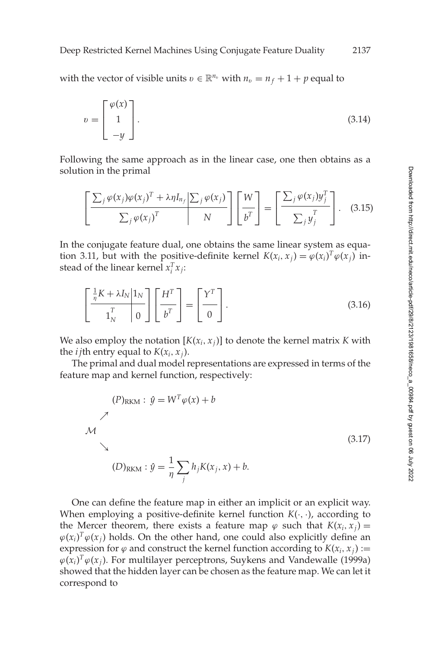#### Deep Restricted Kernel Machines Using Conjugate Feature Duality 2137

with the vector of visible units  $v \in \mathbb{R}^{n_v}$  with  $n_v = n_f + 1 + p$  equal to

$$
v = \begin{bmatrix} \varphi(x) \\ 1 \\ -y \end{bmatrix}.
$$
 (3.14)

Following the same approach as in the linear case, one then obtains as a solution in the primal

$$
\left[\frac{\sum_{j} \varphi(x_{j}) \varphi(x_{j})^{T} + \lambda \eta I_{n_{f}} \left[\sum_{j} \varphi(x_{j})\right]}{ \sum_{j} \varphi(x_{j})^{T}} \right] \left[\frac{W}{b^{T}}\right] = \left[\frac{\sum_{j} \varphi(x_{j}) y_{j}^{T}}{ \sum_{j} y_{j}^{T}}\right].
$$
 (3.15)

In the conjugate feature dual, one obtains the same linear system as equa-tion [3.11,](#page-13-0) but with the positive-definite kernel  $K(x_i, x_j) = \varphi(x_i)^T \varphi(x_j)$  instead of the linear kernel  $x_i^T x_j$ :

$$
\left[\frac{\frac{1}{n}K + \lambda I_N}{\mathbf{1}_N^T} \right] \mathbf{0} \left[\frac{H^T}{b^T}\right] = \left[\frac{Y^T}{0}\right].
$$
\n(3.16)

We also employ the notation  $[K(x_i, x_j)]$  to denote the kernel matrix *K* with the *i* jth entry equal to  $K(x_i, x_j)$ .

The primal and dual model representations are expressed in terms of the feature map and kernel function, respectively:

$$
(P)_{\text{RKM}} : \hat{y} = W^T \varphi(x) + b
$$
  
\n
$$
\nearrow
$$
  
\n
$$
(3.17)
$$
  
\n
$$
(D)_{\text{RKM}} : \hat{y} = \frac{1}{\eta} \sum_{j} h_j K(x_j, x) + b.
$$

One can define the feature map in either an implicit or an explicit way. When employing a positive-definite kernel function  $K(\cdot, \cdot)$ , according to the Mercer theorem, there exists a feature map  $\varphi$  such that  $K(x_i, x_j) =$  $\varphi(x_i)^T \varphi(x_j)$  holds. On the other hand, one could also explicitly define an expression for  $\varphi$  and construct the kernel function according to  $K(x_i, x_j) :=$  $\varphi(x_i)^T \varphi(x_j)$ . For multilayer perceptrons, Suykens and Vandewalle [\(1999a\)](#page-40-0) showed that the hidden layer can be chosen as the feature map. We can let it correspond to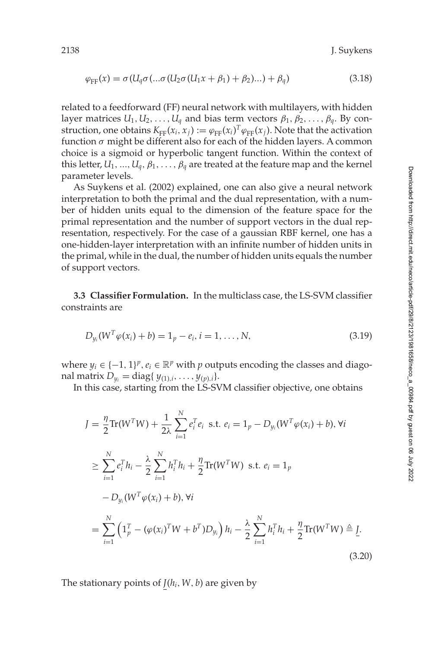$$
\varphi_{\text{FF}}(x) = \sigma(U_q \sigma(\dots \sigma(U_2 \sigma(U_1 x + \beta_1) + \beta_2) \dots) + \beta_q)
$$
\n(3.18)

related to a feedforward (FF) neural network with multilayers, with hidden layer matrices  $U_1, U_2, \ldots, U_q$  and bias term vectors  $\beta_1, \beta_2, \ldots, \beta_q$ . By construction, one obtains  $K_{FF}(x_i, x_j) := \varphi_{FF}(x_i)^T \varphi_{FF}(x_j)$ . Note that the activation function  $\sigma$  might be different also for each of the hidden layers. A common choice is a sigmoid or hyperbolic tangent function. Within the context of this letter,  $U_1$ , ...,  $U_q$ ,  $\beta_1$ , ...,  $\beta_q$  are treated at the feature map and the kernel parameter levels.

As Suykens et al. [\(2002\)](#page-40-0) explained, one can also give a neural network interpretation to both the primal and the dual representation, with a number of hidden units equal to the dimension of the feature space for the primal representation and the number of support vectors in the dual representation, respectively. For the case of a gaussian RBF kernel, one has a one-hidden-layer interpretation with an infinite number of hidden units in the primal, while in the dual, the number of hidden units equals the number of support vectors.

**3.3 Classifier Formulation.** In the multiclass case, the LS-SVM classifier constraints are

$$
D_{y_i}(W^T \varphi(x_i) + b) = 1_p - e_i, i = 1, ..., N,
$$
\n(3.19)

where  $y_i \in \{-1, 1\}^p$ ,  $e_i \in \mathbb{R}^p$  with *p* outputs encoding the classes and diagonal matrix  $D_{y_i} = \text{diag}\{y_{(1),i}, \ldots, y_{(p),i}\}.$ 

In this case, starting from the LS-SVM classifier objective, one obtains

$$
J = \frac{\eta}{2} \text{Tr}(W^T W) + \frac{1}{2\lambda} \sum_{i=1}^N e_i^T e_i \text{ s.t. } e_i = 1_p - D_{y_i}(W^T \varphi(x_i) + b), \forall i
$$
  
\n
$$
\geq \sum_{i=1}^N e_i^T h_i - \frac{\lambda}{2} \sum_{i=1}^N h_i^T h_i + \frac{\eta}{2} \text{Tr}(W^T W) \text{ s.t. } e_i = 1_p
$$
  
\n
$$
-D_{y_i}(W^T \varphi(x_i) + b), \forall i
$$
  
\n
$$
= \sum_{i=1}^N \left( 1_p^T - (\varphi(x_i)^T W + b^T) D_{y_i} \right) h_i - \frac{\lambda}{2} \sum_{i=1}^N h_i^T h_i + \frac{\eta}{2} \text{Tr}(W^T W) \triangleq \underline{I}.
$$
  
\n(3.20)

The stationary points of *J*(*hi*,*W*, *b*) are given by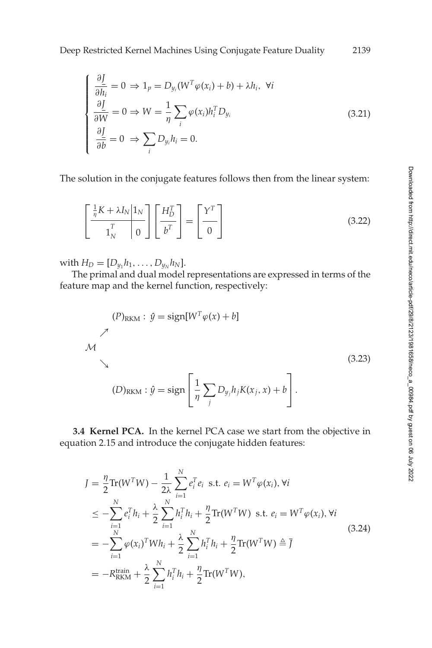$$
\begin{cases}\n\frac{\partial \underline{I}}{\partial h_i} = 0 \Rightarrow 1_p = D_{y_i}(W^T \varphi(x_i) + b) + \lambda h_i, \ \forall i \\
\frac{\partial \underline{I}}{\partial W} = 0 \Rightarrow W = \frac{1}{\eta} \sum_i \varphi(x_i) h_i^T D_{y_i} \\
\frac{\partial \underline{I}}{\partial \overline{b}} = 0 \Rightarrow \sum_i D_{y_i} h_i = 0.\n\end{cases}
$$
\n(3.21)

The solution in the conjugate features follows then from the linear system:

$$
\left[\frac{\frac{1}{\eta}K + \lambda I_N}{\mathbf{1}_N^T} \right] \mathbf{0} \left[\frac{H_D^T}{b^T}\right] = \left[\frac{\mathbf{Y}^T}{\mathbf{0}}\right]
$$
\n(3.22)

with  $H_D = [D_{y_1} h_1, \ldots, D_{y_N} h_N].$ 

The primal and dual model representations are expressed in terms of the feature map and the kernel function, respectively:

$$
(P)_{RKM}: \hat{y} = sign[W^T \varphi(x) + b]
$$
  
\n
$$
\mathcal{M}
$$
  
\n
$$
(3.23)
$$
  
\n
$$
(D)_{RKM}: \hat{y} = sign\left[\frac{1}{\eta} \sum_{j} D_{y_j} h_j K(x_j, x) + b\right].
$$

**3.4 Kernel PCA.** In the kernel PCA case we start from the objective in equation [2.15](#page-8-0) and introduce the conjugate hidden features:

$$
J = \frac{\eta}{2} \text{Tr}(W^{T}W) - \frac{1}{2\lambda} \sum_{i=1}^{N} e_{i}^{T} e_{i} \text{ s.t. } e_{i} = W^{T} \varphi(x_{i}), \forall i
$$
  
\n
$$
\leq -\sum_{i=1}^{N} e_{i}^{T} h_{i} + \frac{\lambda}{2} \sum_{i=1}^{N} h_{i}^{T} h_{i} + \frac{\eta}{2} \text{Tr}(W^{T}W) \text{ s.t. } e_{i} = W^{T} \varphi(x_{i}), \forall i
$$
  
\n
$$
= -\sum_{i=1}^{N} \varphi(x_{i})^{T} W h_{i} + \frac{\lambda}{2} \sum_{i=1}^{N} h_{i}^{T} h_{i} + \frac{\eta}{2} \text{Tr}(W^{T}W) \triangleq \overline{J}
$$
  
\n
$$
= -R_{\text{RKM}}^{\text{train}} + \frac{\lambda}{2} \sum_{i=1}^{N} h_{i}^{T} h_{i} + \frac{\eta}{2} \text{Tr}(W^{T}W),
$$
\n(3.24)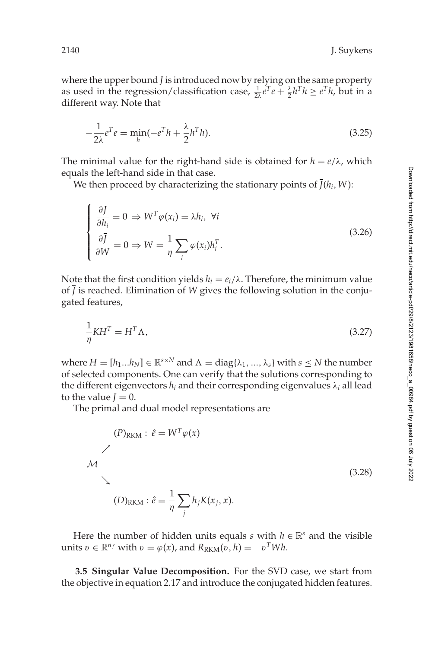<span id="page-17-0"></span>where the upper bound  $\bar{J}$  is introduced now by relying on the same property as used in the regression/classification case,  $\frac{1}{2\lambda}e^{T}e + \frac{\lambda}{2}h^{T}h \geq e^{T}h$ , but in a different way. Note that

$$
-\frac{1}{2\lambda}e^Te = \min_h(-e^Th + \frac{\lambda}{2}h^Th). \tag{3.25}
$$

The minimal value for the right-hand side is obtained for  $h = e/\lambda$ , which equals the left-hand side in that case.

We then proceed by characterizing the stationary points of  $\overline{J}(h_i, W)$ :

$$
\begin{cases}\n\frac{\partial \overline{f}}{\partial h_i} = 0 \Rightarrow W^T \varphi(x_i) = \lambda h_i, \ \forall i \\
\frac{\partial \overline{f}}{\partial W} = 0 \Rightarrow W = \frac{1}{\eta} \sum_i \varphi(x_i) h_i^T.\n\end{cases}
$$
\n(3.26)

Note that the first condition yields  $h<sub>i</sub> = e<sub>i</sub>/λ$ . Therefore, the minimum value of  $\overline{J}$  is reached. Elimination of *W* gives the following solution in the conjugated features,

$$
\frac{1}{\eta}KH^T = H^T \Lambda,\tag{3.27}
$$

where  $H = [h_1...h_N] \in \mathbb{R}^{s \times N}$  and  $\Lambda = \text{diag}\{\lambda_1, ..., \lambda_s\}$  with  $s \leq N$  the number of selected components. One can verify that the solutions corresponding to the different eigenvectors  $h_i$  and their corresponding eigenvalues  $\lambda_i$  all lead to the value *.* 

The primal and dual model representations are

$$
(P)_{RKM}: \hat{e} = W^T \varphi(x)
$$
  
\n
$$
\mathcal{M}
$$
  
\n
$$
(D)_{RKM}: \hat{e} = \frac{1}{\eta} \sum_j h_j K(x_j, x).
$$
  
\n(3.28)

Here the number of hidden units equals *s* with  $h \in \mathbb{R}^s$  and the visible units  $v \in \mathbb{R}^{n_f}$  with  $v = \varphi(x)$ , and  $R_{\text{RKM}}(v, h) = -v^T W h$ .

**3.5 Singular Value Decomposition.** For the SVD case, we start from the objective in equation [2.17](#page-8-0) and introduce the conjugated hidden features.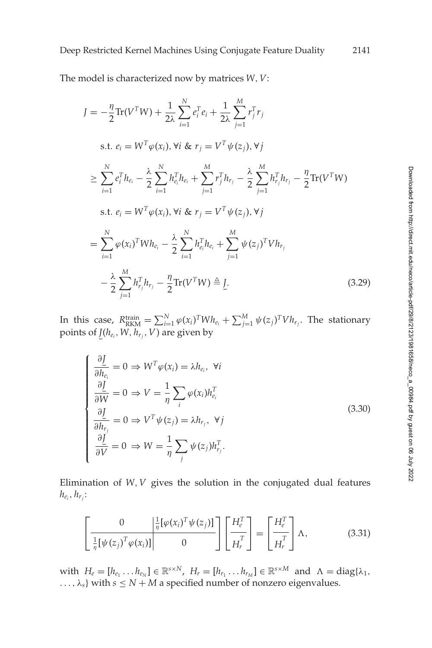Deep Restricted Kernel Machines Using Conjugate Feature Duality 2141

The model is characterized now by matrices *W*,*V*:

$$
J = -\frac{\eta}{2} \text{Tr}(V^{T}W) + \frac{1}{2\lambda} \sum_{i=1}^{N} e_{i}^{T} e_{i} + \frac{1}{2\lambda} \sum_{j=1}^{M} r_{j}^{T} r_{j}
$$
  
s.t.  $e_{i} = W^{T} \varphi(x_{i}), \forall i \& x_{j} = V^{T} \psi(z_{j}), \forall j$   

$$
\geq \sum_{i=1}^{N} e_{i}^{T} h_{e_{i}} - \frac{\lambda}{2} \sum_{i=1}^{N} h_{e_{i}}^{T} h_{e_{i}} + \sum_{j=1}^{M} r_{j}^{T} h_{r_{j}} - \frac{\lambda}{2} \sum_{j=1}^{M} h_{r_{j}}^{T} h_{r_{j}} - \frac{\eta}{2} \text{Tr}(V^{T}W)
$$
  
s.t.  $e_{i} = W^{T} \varphi(x_{i}), \forall i \& x_{j} = V^{T} \psi(z_{j}), \forall j$   

$$
= \sum_{i=1}^{N} \varphi(x_{i})^{T} W h_{e_{i}} - \frac{\lambda}{2} \sum_{i=1}^{N} h_{e_{i}}^{T} h_{e_{i}} + \sum_{j=1}^{M} \psi(z_{j})^{T} V h_{r_{j}}
$$

$$
- \frac{\lambda}{2} \sum_{j=1}^{M} h_{r_{j}}^{T} h_{r_{j}} - \frac{\eta}{2} \text{Tr}(V^{T}W) \triangleq \underline{I}.
$$
 (3.29)

In this case,  $R_{\text{RKM}}^{\text{train}} = \sum_{i=1}^{N} \varphi(x_i)^T W h_{e_i} + \sum_{j=1}^{M} \psi(z_j)^T V h_{r_j}$ . The stationary points of  $\underline{J}(h_{e_i}, W, h_{r_j}, V)$  are given by

$$
\begin{cases}\n\frac{\partial \underline{I}}{\partial h_{e_i}} = 0 \Rightarrow W^T \varphi(x_i) = \lambda h_{e_i}, \ \forall i \\
\frac{\partial \underline{I}}{\partial \overline{W}} = 0 \Rightarrow V = \frac{1}{\eta} \sum_i \varphi(x_i) h_{e_i}^T \\
\frac{\partial \underline{I}}{\partial h_{r_j}} = 0 \Rightarrow V^T \psi(z_j) = \lambda h_{r_j}, \ \forall j \\
\frac{\partial \underline{I}}{\partial \overline{V}} = 0 \Rightarrow W = \frac{1}{\eta} \sum_j \psi(z_j) h_{r_j}^T.\n\end{cases} \tag{3.30}
$$

Elimination of *W*,*V* gives the solution in the conjugated dual features  $h_{e_i}, h_{r_j}$ :

$$
\left[\frac{0}{\frac{1}{n}[\psi(z_j)^T\varphi(x_i)]}\middle|\begin{array}{c} \frac{1}{n}[\varphi(x_i)^T\psi(z_j)]\\ 0 \end{array}\right]\left[\frac{H_e^T}{H_r^T}\right] = \left[\frac{H_e^T}{H_r^T}\right]\Lambda,\tag{3.31}
$$

with  $H_e = [h_{e_1} \dots h_{e_N}] \in \mathbb{R}^{s \times N}$ ,  $H_r = [h_{r_1} \dots h_{r_M}] \in \mathbb{R}^{s \times M}$  and  $\Lambda = \text{diag}\{\lambda_1,$ ...,  $\lambda_s$ } with  $s \le N + M$  a specified number of nonzero eigenvalues.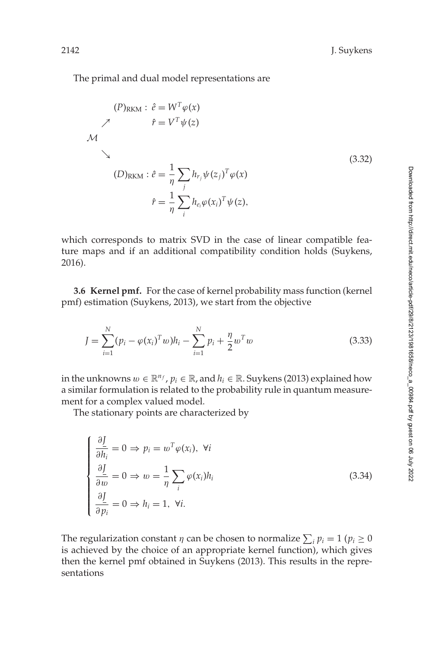The primal and dual model representations are

$$
(P)_{RKM}: \hat{e} = W^T \varphi(x)
$$
  
\n
$$
\gamma \qquad \hat{r} = V^T \psi(z)
$$
  
\n
$$
M
$$
  
\n
$$
\downarrow
$$
  
\n
$$
(D)_{RKM}: \hat{e} = \frac{1}{\eta} \sum_j h_{r_j} \psi(z_j)^T \varphi(x)
$$
  
\n
$$
\hat{r} = \frac{1}{\eta} \sum_i h_{e_i} \varphi(x_i)^T \psi(z),
$$
  
\n(3.32)

which corresponds to matrix SVD in the case of linear compatible feature maps and if an additional compatibility condition holds (Suykens, [2016\)](#page-40-0).

**3.6 Kernel pmf.** For the case of kernel probability mass function (kernel pmf) estimation (Suykens, [2013\)](#page-40-0), we start from the objective

$$
J = \sum_{i=1}^{N} (p_i - \varphi(x_i)^T w) h_i - \sum_{i=1}^{N} p_i + \frac{\eta}{2} w^T w
$$
\n(3.33)

in the unknowns  $w \in \mathbb{R}^{n_f}$ ,  $p_i \in \mathbb{R}$ , and  $h_i \in \mathbb{R}$ . Suykens [\(2013\)](#page-40-0) explained how a similar formulation is related to the probability rule in quantum measurement for a complex valued model.

The stationary points are characterized by

$$
\begin{cases}\n\frac{\partial \underline{I}}{\partial h_i} = 0 \Rightarrow p_i = w^T \varphi(x_i), \ \forall i \\
\frac{\partial \underline{I}}{\partial \overline{w}} = 0 \Rightarrow w = \frac{1}{\eta} \sum_i \varphi(x_i) h_i \\
\frac{\partial \underline{I}}{\partial \overline{p_i}} = 0 \Rightarrow h_i = 1, \ \forall i.\n\end{cases}
$$
\n(3.34)

The regularization constant  $\eta$  can be chosen to normalize  $\sum_i p_i = 1$  ( $p_i \geq 0$ is achieved by the choice of an appropriate kernel function), which gives then the kernel pmf obtained in Suykens [\(2013\)](#page-40-0). This results in the representations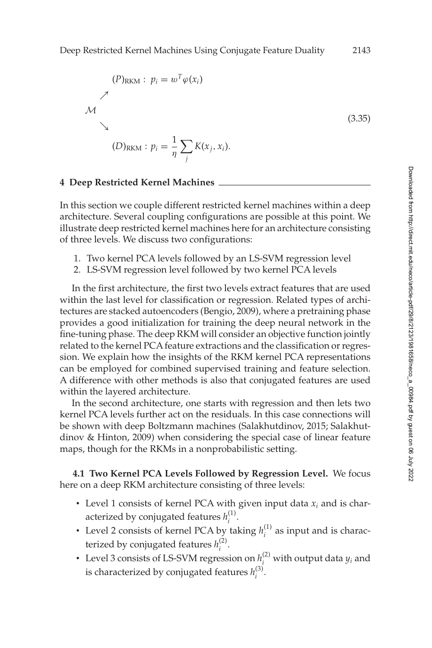<span id="page-20-0"></span>

### **4 Deep Restricted Kernel Machines**

In this section we couple different restricted kernel machines within a deep architecture. Several coupling configurations are possible at this point. We illustrate deep restricted kernel machines here for an architecture consisting of three levels. We discuss two configurations:

- 1. Two kernel PCA levels followed by an LS-SVM regression level
- 2. LS-SVM regression level followed by two kernel PCA levels

In the first architecture, the first two levels extract features that are used within the last level for classification or regression. Related types of architectures are stacked autoencoders (Bengio, [2009\)](#page-37-0), where a pretraining phase provides a good initialization for training the deep neural network in the fine-tuning phase. The deep RKM will consider an objective function jointly related to the kernel PCA feature extractions and the classification or regression. We explain how the insights of the RKM kernel PCA representations can be employed for combined supervised training and feature selection. A difference with other methods is also that conjugated features are used within the layered architecture.

In the second architecture, one starts with regression and then lets two kernel PCA levels further act on the residuals. In this case connections will be shown with deep Boltzmann machines (Salakhutdinov, [2015;](#page-39-0) Salakhutdinov & Hinton, [2009\)](#page-39-0) when considering the special case of linear feature maps, though for the RKMs in a nonprobabilistic setting.

**4.1 Two Kernel PCA Levels Followed by Regression Level.** We focus here on a deep RKM architecture consisting of three levels:

- $\bullet$  Level 1 consists of kernel PCA with given input data  $x_i$  and is characterized by conjugated features  $h_i^{(1)}$ .
- Level 2 consists of kernel PCA by taking  $h_i^{(1)}$  as input and is characterized by conjugated features  $h_i^{(2)}$ .
- Level 3 consists of LS-SVM regression on  $h_i^{(2)}$  with output data  $y_i$  and is characterized by conjugated features  $h_i^{(3)}$ .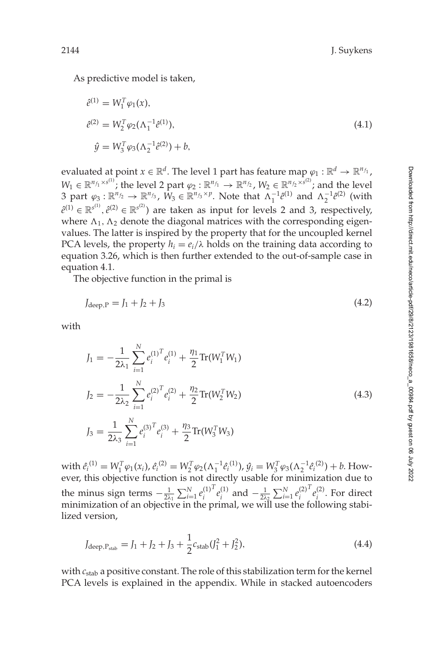As predictive model is taken,

$$
\hat{e}^{(1)} = W_1^T \varphi_1(x),
$$
  
\n
$$
\hat{e}^{(2)} = W_2^T \varphi_2(\Lambda_1^{-1} \hat{e}^{(1)}),
$$
  
\n
$$
\hat{y} = W_3^T \varphi_3(\Lambda_2^{-1} \hat{e}^{(2)}) + b,
$$
\n(4.1)

evaluated at point  $x \in \mathbb{R}^d$ . The level 1 part has feature map  $\varphi_1 : \mathbb{R}^d \to \mathbb{R}^{n_{f_1}}$ ,  $W_1 \in \mathbb{R}^{n_{f_1} \times s^{(1)}}$ ; the level 2 part  $\varphi_2 : \mathbb{R}^{n_{f_1}} \to \mathbb{R}^{n_{f_2}}$ ,  $W_2 \in \mathbb{R}^{n_{f_2} \times s^{(2)}}$ ; and the level 3 part  $\varphi_3 : \mathbb{R}^{n_{f_2}} \to \mathbb{R}^{n_{f_3}}$ ,  $W_3 \in \mathbb{R}^{n_{f_3} \times p}$ . Note that  $\Lambda_1^{-1} \hat{e}^{(1)}$  and  $\Lambda_2^{-1} \hat{e}^{(2)}$  (with  $\hat{e}^{(1)} \in \mathbb{R}^{s^{(1)}}, \hat{e}^{(2)} \in \mathbb{R}^{s^{(2)}}$ ) are taken as input for levels 2 and 3, respectively, where  $\Lambda_1, \Lambda_2$  denote the diagonal matrices with the corresponding eigenvalues. The latter is inspired by the property that for the uncoupled kernel PCA levels, the property  $h_i = e_i/\lambda$  holds on the training data according to equation [3.26,](#page-17-0) which is then further extended to the out-of-sample case in equation 4.1.

The objective function in the primal is

$$
J_{\text{deep},P} = J_1 + J_2 + J_3 \tag{4.2}
$$

with

$$
J_1 = -\frac{1}{2\lambda_1} \sum_{i=1}^{N} e_i^{(1)^T} e_i^{(1)} + \frac{\eta_1}{2} \text{Tr}(W_1^T W_1)
$$
  
\n
$$
J_2 = -\frac{1}{2\lambda_2} \sum_{i=1}^{N} e_i^{(2)^T} e_i^{(2)} + \frac{\eta_2}{2} \text{Tr}(W_2^T W_2)
$$
  
\n
$$
J_3 = \frac{1}{2\lambda_3} \sum_{i=1}^{N} e_i^{(3)^T} e_i^{(3)} + \frac{\eta_3}{2} \text{Tr}(W_3^T W_3)
$$
\n(4.3)

 $\hat{e}_i^{(1)} = W_1^T \varphi_1(x_i), \hat{e}_i^{(2)} = W_2^T \varphi_2(\Lambda_1^{-1} \hat{e}_i^{(1)}), \hat{y}_i = W_3^T \varphi_3(\Lambda_2^{-1} \hat{e}_i^{(2)}) + b.$  However, this objective function is not directly usable for minimization due to the minus sign terms  $-\frac{1}{2\lambda_1} \sum_{i=1}^{N} e_i^{(1)}$  $T$ <sup>*e*</sup><sub>*i*</sub><sup>(1)</sup> and  $-\frac{1}{2\lambda_2} \sum_{i=1}^{N} e_i^{(2)}$  $T$ <sup> $e$ </sup><sup>(2)</sup>. For direct minimization of an objective in the primal, we will use the following stabilized version,

$$
J_{\text{deep}, P_{\text{stab}}} = J_1 + J_2 + J_3 + \frac{1}{2} c_{\text{stab}} (J_1^2 + J_2^2), \tag{4.4}
$$

with *c*stab a positive constant. The role of this stabilization term for the kernel PCA levels is explained in the appendix. While in stacked autoencoders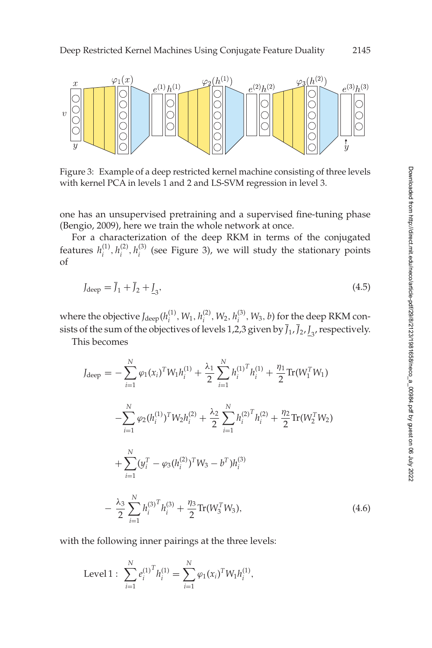

Figure 3: Example of a deep restricted kernel machine consisting of three levels with kernel PCA in levels 1 and 2 and LS-SVM regression in level 3.

one has an unsupervised pretraining and a supervised fine-tuning phase (Bengio, [2009\)](#page-37-0), here we train the whole network at once.

For a characterization of the deep RKM in terms of the conjugated features  $h_i^{(1)}, h_i^{(2)}, h_i^{(3)}$  (see Figure 3), we will study the stationary points of

$$
J_{\text{deep}} = \bar{J}_1 + \bar{J}_2 + \underline{I}_3,\tag{4.5}
$$

where the objective  $J_{\text{deep}}(h_i^{(1)}, W_1, h_i^{(2)}, W_2, h_i^{(3)}, W_3, b)$  for the deep RKM consists of the sum of the objectives of levels 1,2,3 given by  $J_1$ ,  $J_2$ ,  $J_3$ , respectively.

This becomes

$$
J_{\text{deep}} = -\sum_{i=1}^{N} \varphi_1(x_i)^T W_1 h_i^{(1)} + \frac{\lambda_1}{2} \sum_{i=1}^{N} h_i^{(1)}^T h_i^{(1)} + \frac{\eta_1}{2} \text{Tr}(W_1^T W_1)
$$
  

$$
-\sum_{i=1}^{N} \varphi_2(h_i^{(1)})^T W_2 h_i^{(2)} + \frac{\lambda_2}{2} \sum_{i=1}^{N} h_i^{(2)}^T h_i^{(2)} + \frac{\eta_2}{2} \text{Tr}(W_2^T W_2)
$$
  

$$
+\sum_{i=1}^{N} (y_i^T - \varphi_3(h_i^{(2)})^T W_3 - b^T) h_i^{(3)}
$$
  

$$
-\frac{\lambda_3}{2} \sum_{i=1}^{N} h_i^{(3)}^T h_i^{(3)} + \frac{\eta_3}{2} \text{Tr}(W_3^T W_3), \tag{4.6}
$$

with the following inner pairings at the three levels:

Level 1: 
$$
\sum_{i=1}^{N} e_i^{(1)^T} h_i^{(1)} = \sum_{i=1}^{N} \varphi_1(x_i)^T W_1 h_i^{(1)},
$$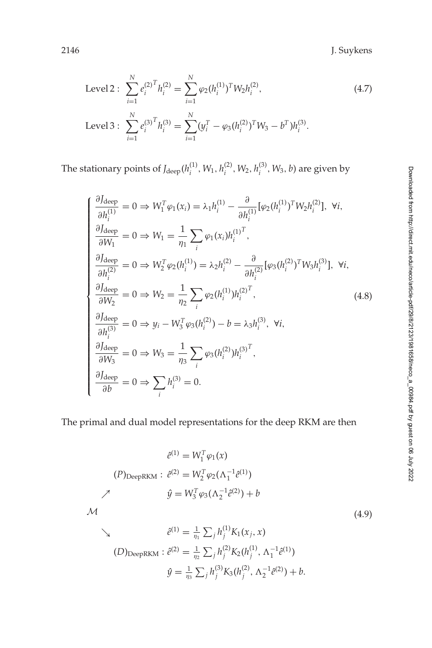2146 J. Suykens

Level 2: 
$$
\sum_{i=1}^{N} e_i^{(2)^T} h_i^{(2)} = \sum_{i=1}^{N} \varphi_2 (h_i^{(1)})^T W_2 h_i^{(2)},
$$
  
Level 3: 
$$
\sum_{i=1}^{N} e_i^{(3)^T} h_i^{(3)} = \sum_{i=1}^{N} (y_i^T - \varphi_3 (h_i^{(2)})^T W_3 - b^T) h_i^{(3)}.
$$
 (4.7)

The stationary points of  $J_{\text{deep}}(h_i^{(1)}, W_1, h_i^{(2)}, W_2, h_i^{(3)}, W_3, b)$  are given by

$$
\begin{cases}\n\frac{\partial J_{\text{deep}}}{\partial h_i^{(1)}} = 0 \Rightarrow W_1^T \varphi_1(x_i) = \lambda_1 h_i^{(1)} - \frac{\partial}{\partial h_i^{(1)}} [\varphi_2(h_i^{(1)})^T W_2 h_i^{(2)}], \forall i, \\
\frac{\partial J_{\text{deep}}}{\partial W_1} = 0 \Rightarrow W_1 = \frac{1}{\eta_1} \sum_i \varphi_1(x_i) h_i^{(1)^T}, \\
\frac{\partial J_{\text{deep}}}{\partial h_i^{(2)}} = 0 \Rightarrow W_2^T \varphi_2(h_i^{(1)}) = \lambda_2 h_i^{(2)} - \frac{\partial}{\partial h_i^{(2)}} [\varphi_3(h_i^{(2)})^T W_3 h_i^{(3)}], \forall i, \\
\frac{\partial J_{\text{deep}}}{\partial W_2} = 0 \Rightarrow W_2 = \frac{1}{\eta_2} \sum_i \varphi_2(h_i^{(1)}) h_i^{(2)^T}, \\
\frac{\partial J_{\text{deep}}}{\partial h_i^{(3)}} = 0 \Rightarrow y_i - W_3^T \varphi_3(h_i^{(2)}) - b = \lambda_3 h_i^{(3)}, \forall i, \\
\frac{\partial J_{\text{deep}}}{\partial W_3} = 0 \Rightarrow W_3 = \frac{1}{\eta_3} \sum_i \varphi_3(h_i^{(2)}) h_i^{(3)^T}, \\
\frac{\partial J_{\text{deep}}}{\partial b} = 0 \Rightarrow \sum_i h_i^{(3)} = 0.\n\end{cases}
$$
\n(4.8)

The primal and dual model representations for the deep RKM are then

$$
\hat{e}^{(1)} = W_1^T \varphi_1(x)
$$
\n
$$
(P)_{\text{DeepRKM}} : \hat{e}^{(2)} = W_2^T \varphi_2(\Lambda_1^{-1} \hat{e}^{(1)})
$$
\n
$$
\hat{y} = W_3^T \varphi_3(\Lambda_2^{-1} \hat{e}^{(2)}) + b
$$
\n
$$
\hat{e}^{(1)} = \frac{1}{\eta_1} \sum_j h_j^{(1)} K_1(x_j, x)
$$
\n(4.9)

(D)DeepRKM: 
$$
\hat{e}^{(2)} = \frac{1}{\eta_2} \sum_j h_j^{(2)} K_2(h_j^{(1)}, \Lambda_1^{-1} \hat{e}^{(1)})
$$
  

$$
\hat{y} = \frac{1}{\eta_3} \sum_j h_j^{(3)} K_3(h_j^{(2)}, \Lambda_2^{-1} \hat{e}^{(2)}) + b.
$$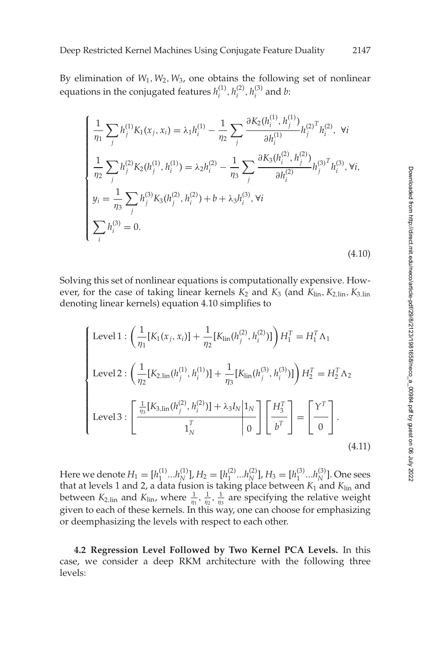<span id="page-24-0"></span>By elimination of *W*1,*W*2,*W*3, one obtains the following set of nonlinear equations in the conjugated features  $h_i^{(1)}$ ,  $h_i^{(2)}$ ,  $h_i^{(3)}$  and *b*:

$$
\begin{cases}\n\frac{1}{\eta_1} \sum_j h_j^{(1)} K_1(x_j, x_i) = \lambda_1 h_i^{(1)} - \frac{1}{\eta_2} \sum_j \frac{\partial K_2(h_i^{(1)}, h_j^{(1)})}{\partial h_i^{(1)}} h_j^{(2)} \right] h_i^{(2)} \left( \begin{aligned}\n\frac{1}{\eta_2} \sum_j h_j^{(2)} K_2(h_j^{(1)}, h_i^{(1)}) &= \lambda_2 h_i^{(2)} - \frac{1}{\eta_3} \sum_j \frac{\partial K_3(h_i^{(2)}, h_j^{(2)})}{\partial h_i^{(2)}} h_j^{(3)} \right) h_i^{(3)} \left( \begin{aligned}\ny_i &= \frac{1}{\eta_3} \sum_j h_j^{(3)} K_3(h_j^{(2)}, h_i^{(2)}) + b + \lambda_3 h_i^{(3)}, \forall i \\
\sum_i h_i^{(3)} &= 0.\n\end{aligned}\n\end{cases}
$$
\n
$$
(4.10)
$$

Solving this set of nonlinear equations is computationally expensive. However, for the case of taking linear kernels  $K_2$  and  $K_3$  (and  $K_{lin}$ ,  $K_{2,lin}$ ,  $K_{3,lin}$ denoting linear kernels) equation 4.10 simplifies to

$$
\begin{cases}\n\text{Level 1}: \left(\frac{1}{\eta_1}[K_1(x_j, x_i)] + \frac{1}{\eta_2}[K_{\text{lin}}(h_j^{(2)}, h_i^{(2)})]\right) H_1^T = H_1^T \Lambda_1 \\
\text{Level 2}: \left(\frac{1}{\eta_2}[K_{2, \text{lin}}(h_j^{(1)}, h_i^{(1)})] + \frac{1}{\eta_3}[K_{\text{lin}}(h_j^{(3)}, h_i^{(3)})]\right) H_2^T = H_2^T \Lambda_2 \\
\text{Level 3}: \left[\frac{\frac{1}{\eta_3}[K_{3, \text{lin}}(h_j^{(2)}, h_i^{(2)})] + \lambda_3 I_N |1_N}{1_N^T}\right] \left[\frac{H_3^T}{b^T}\right] = \left[\frac{Y^T}{0}\right].\n\end{cases}
$$
\n(4.11)

Here we denote  $H_1 = [h_1^{(1)}...h_N^{(1)}]$ ,  $H_2 = [h_1^{(2)}...h_N^{(2)}]$ ,  $H_3 = [h_1^{(3)}...h_N^{(3)}]$ . One sees that at levels 1 and 2, a data fusion is taking place between *K*<sup>1</sup> and *K*lin and between  $K_{2,lin}$  and  $K_{lin}$ , where  $\frac{1}{\eta_1}, \frac{1}{\eta_2}, \frac{1}{\eta_3}$  are specifying the relative weight given to each of these kernels. In this way, one can choose for emphasizing or deemphasizing the levels with respect to each other.

**4.2 Regression Level Followed by Two Kernel PCA Levels.** In this case, we consider a deep RKM architecture with the following three levels: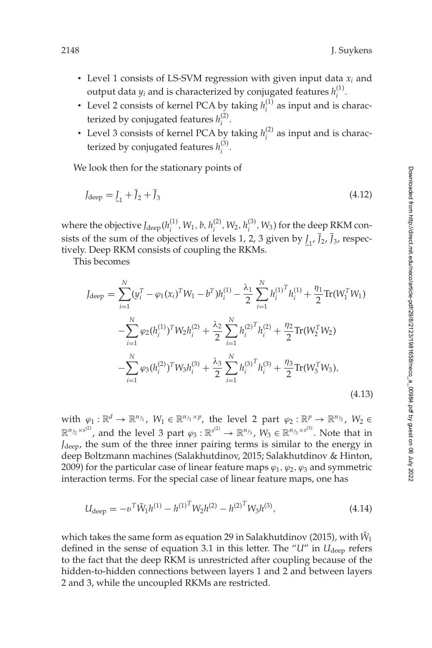- $\cdot$  Level 1 consists of LS-SVM regression with given input data  $x_i$  and output data  $y_i$  and is characterized by conjugated features  $h_i^{(1)}$ .
- Level 2 consists of kernel PCA by taking  $h_i^{(1)}$  as input and is characterized by conjugated features  $h_i^{(2)}$ .
- Level 3 consists of kernel PCA by taking  $h_i^{(2)}$  as input and is characterized by conjugated features  $h_i^{(3)}$ .

We look then for the stationary points of

$$
J_{\text{deep}} = \underline{J}_1 + \bar{J}_2 + \bar{J}_3 \tag{4.12}
$$

where the objective  $J_{\text{deep}}(h_i^{(1)}, W_1, b, h_i^{(2)}, W_2, h_i^{(3)}, W_3)$  for the deep RKM consists of the sum of the objectives of levels 1, 2, 3 given by  $I_{1}$ ,  $J_{2}$ ,  $J_{3}$ , respectively. Deep RKM consists of coupling the RKMs.

This becomes

$$
J_{\text{deep}} = \sum_{i=1}^{N} (y_i^T - \varphi_1(x_i)^T W_1 - b^T) h_i^{(1)} - \frac{\lambda_1}{2} \sum_{i=1}^{N} h_i^{(1)T} h_i^{(1)} + \frac{\eta_1}{2} \text{Tr}(W_1^T W_1)
$$
  

$$
- \sum_{i=1}^{N} \varphi_2(h_i^{(1)})^T W_2 h_i^{(2)} + \frac{\lambda_2}{2} \sum_{i=1}^{N} h_i^{(2)T} h_i^{(2)} + \frac{\eta_2}{2} \text{Tr}(W_2^T W_2)
$$
  

$$
- \sum_{i=1}^{N} \varphi_3(h_i^{(2)})^T W_3 h_i^{(3)} + \frac{\lambda_3}{2} \sum_{i=1}^{N} h_i^{(3)T} h_i^{(3)} + \frac{\eta_3}{2} \text{Tr}(W_3^T W_3),
$$
(4.13)

with  $\varphi_1 : \mathbb{R}^d \to \mathbb{R}^{n_{f_1}}$ ,  $W_1 \in \mathbb{R}^{n_{f_1} \times p}$ , the level 2 part  $\varphi_2 : \mathbb{R}^p \to \mathbb{R}^{n_{f_2}}$ ,  $W_2 \in$  $\mathbb{R}^{n_{f_2}\times s^{(2)}}$ , and the level 3 part  $\varphi_3:\mathbb{R}^{s^{(2)}}\to \mathbb{R}^{n_{f_3}},$   $W_3\in \mathbb{R}^{n_{f_3}\times s^{(3)}}.$  Note that in *J*deep, the sum of the three inner pairing terms is similar to the energy in deep Boltzmann machines (Salakhutdinov, [2015;](#page-39-0) Salakhutdinov & Hinton, [2009\)](#page-39-0) for the particular case of linear feature maps  $\varphi_1, \varphi_2, \varphi_3$  and symmetric interaction terms. For the special case of linear feature maps, one has

$$
U_{\text{deep}} = -v^T \tilde{W}_1 h^{(1)} - h^{(1)^T} W_2 h^{(2)} - h^{(2)^T} W_3 h^{(3)},\tag{4.14}
$$

which takes the same form as equation 29 in Salakhutdinov [\(2015\)](#page-39-0), with  $\tilde{W}_1$ defined in the sense of equation [3.1](#page-9-0) in this letter. The "*U*" in *U*<sub>deep</sub> refers to the fact that the deep RKM is unrestricted after coupling because of the hidden-to-hidden connections between layers 1 and 2 and between layers 2 and 3, while the uncoupled RKMs are restricted.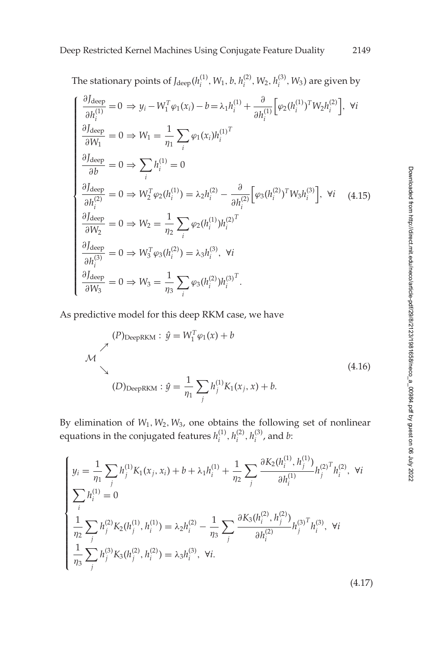The stationary points of  $J_{\text{deep}}(h_i^{(1)}, W_1, b, h_i^{(2)}, W_2, h_i^{(3)}, W_3)$  are given by

$$
\begin{cases}\n\frac{\partial J_{\text{deep}}}{\partial h_i^{(1)}} = 0 \Rightarrow y_i - W_1^T \varphi_1(x_i) - b = \lambda_1 h_i^{(1)} + \frac{\partial}{\partial h_i^{(1)}} \Big[ \varphi_2(h_i^{(1)})^T W_2 h_i^{(2)} \Big], \forall i \\
\frac{\partial J_{\text{deep}}}{\partial W_1} = 0 \Rightarrow W_1 = \frac{1}{\eta_1} \sum_i \varphi_1(x_i) h_i^{(1)T} \\
\frac{\partial J_{\text{deep}}}{\partial b} = 0 \Rightarrow \sum_i h_i^{(1)} = 0 \\
\frac{\partial J_{\text{deep}}}{\partial h_i^{(2)}} = 0 \Rightarrow W_2^T \varphi_2(h_i^{(1)}) = \lambda_2 h_i^{(2)} - \frac{\partial}{\partial h_i^{(2)}} \Big[ \varphi_3(h_i^{(2)})^T W_3 h_i^{(3)} \Big], \forall i \quad (4.15) \\
\frac{\partial J_{\text{deep}}}{\partial W_2} = 0 \Rightarrow W_2 = \frac{1}{\eta_2} \sum_i \varphi_2(h_i^{(1)}) h_i^{(2)T} \\
\frac{\partial J_{\text{deep}}}{\partial h_i^{(3)}} = 0 \Rightarrow W_3^T \varphi_3(h_i^{(2)}) = \lambda_3 h_i^{(3)}, \forall i \\
\frac{\partial J_{\text{deep}}}{\partial W_3} = 0 \Rightarrow W_3 = \frac{1}{\eta_3} \sum_i \varphi_3(h_i^{(2)}) h_i^{(3)T}.\n\end{cases}
$$

As predictive model for this deep RKM case, we have

$$
(P)_{\text{DeepRKM}} : \hat{y} = W_1^T \varphi_1(x) + b
$$
  
\n
$$
\mathcal{M}
$$
  
\n
$$
(D)_{\text{DeepRKM}} : \hat{y} = \frac{1}{\eta_1} \sum_j h_j^{(1)} K_1(x_j, x) + b.
$$
  
\n
$$
(4.16)
$$

By elimination of *W*1,*W*2,*W*3, one obtains the following set of nonlinear equations in the conjugated features  $h_i^{(1)}, h_i^{(2)}, h_i^{(3)}$ , and *b*:

$$
\begin{cases}\ny_i = \frac{1}{\eta_1} \sum_j h_j^{(1)} K_1(x_j, x_i) + b + \lambda_1 h_i^{(1)} + \frac{1}{\eta_2} \sum_j \frac{\partial K_2(h_i^{(1)}, h_j^{(1)})}{\partial h_i^{(1)}} h_j^{(2)}{}^T h_i^{(2)}, \forall i \\
\sum_i h_i^{(1)} = 0 \\
\frac{1}{\eta_2} \sum_j h_j^{(2)} K_2(h_j^{(1)}, h_i^{(1)}) = \lambda_2 h_i^{(2)} - \frac{1}{\eta_3} \sum_j \frac{\partial K_3(h_i^{(2)}, h_j^{(2)})}{\partial h_i^{(2)}} h_j^{(3)}{}^T h_i^{(3)}, \forall i \\
\frac{1}{\eta_3} \sum_j h_j^{(3)} K_3(h_j^{(2)}, h_i^{(2)}) = \lambda_3 h_i^{(3)}, \forall i.\n\end{cases}
$$

(4.17)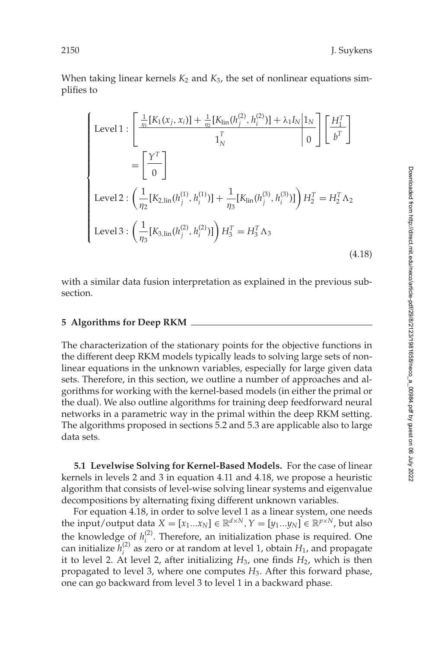<span id="page-27-0"></span>When taking linear kernels  $K_2$  and  $K_3$ , the set of nonlinear equations simplifies to

$$
\begin{cases}\n\text{Level 1}: \left[\frac{\frac{1}{\eta_1}[K_1(x_j, x_i)] + \frac{1}{\eta_2}[K_{\text{lin}}(h_j^{(2)}, h_i^{(2)})] + \lambda_1 I_N | 1_N}{1_N}\right] \left[\frac{H_1^T}{b^T}\right] \\
= \left[\frac{Y^T}{0}\right] \\
\text{Level 2}: \left(\frac{1}{\eta_2}[K_{2, \text{lin}}(h_j^{(1)}, h_i^{(1)})] + \frac{1}{\eta_3}[K_{\text{lin}}(h_j^{(3)}, h_i^{(3)})]\right) H_2^T = H_2^T \Lambda_2 \\
\text{Level 3}: \left(\frac{1}{\eta_3}[K_{3, \text{lin}}(h_j^{(2)}, h_i^{(2)})]\right) H_3^T = H_3^T \Lambda_3\n\end{cases} \tag{4.18}
$$

with a similar data fusion interpretation as explained in the previous subsection.

#### **5 Algorithms for Deep RKM**

The characterization of the stationary points for the objective functions in the different deep RKM models typically leads to solving large sets of nonlinear equations in the unknown variables, especially for large given data sets. Therefore, in this section, we outline a number of approaches and algorithms for working with the kernel-based models (in either the primal or the dual). We also outline algorithms for training deep feedforward neural networks in a parametric way in the primal within the deep RKM setting. The algorithms proposed in sections [5.2](#page-28-0) and 5.3 are applicable also to large data sets.

**5.1 Levelwise Solving for Kernel-Based Models.** For the case of linear kernels in levels 2 and 3 in equation [4.11](#page-24-0) and 4.18, we propose a heuristic algorithm that consists of level-wise solving linear systems and eigenvalue decompositions by alternating fixing different unknown variables.

For equation 4.18, in order to solve level 1 as a linear system, one needs the input/output data  $X = [x_1...x_N] \in \mathbb{R}^{d \times N}, Y = [y_1...y_N] \in \mathbb{R}^{p \times N}$ , but also the knowledge of  $h_i^{(2)}$ . Therefore, an initialization phase is required. One can initialize  $h_i^{(2)}$  as zero or at random at level 1, obtain  $H_1$ , and propagate it to level 2. At level 2, after initializing  $H_3$ , one finds  $H_2$ , which is then propagated to level 3, where one computes *H*3. After this forward phase, one can go backward from level 3 to level 1 in a backward phase.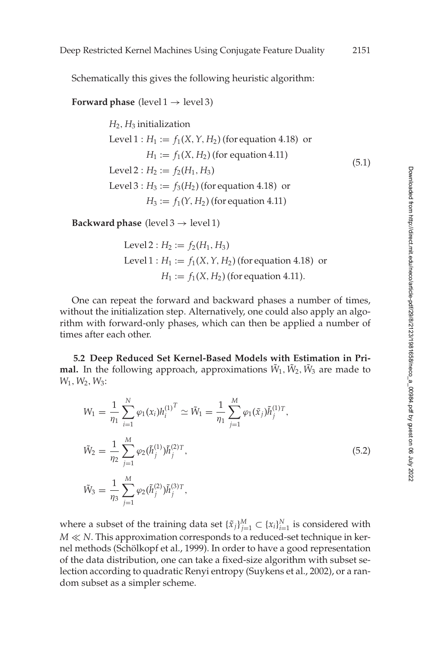<span id="page-28-0"></span>Schematically this gives the following heuristic algorithm:

**Forward phase** (level  $1 \rightarrow$  level 3)

 $H_2$ ,  $H_3$  initialization Level  $1: H_1 := f_1(X, Y, H_2)$  (for equation 4.18) or  $H_1 := f_1(X, H_2)$  (for equation 4.11) Level 2 :  $H_2 := f_2(H_1, H_3)$ Level  $3: H_3 := f_3(H_2)$  (for equation 4.18) or  $H_3 := f_1(Y, H_2)$  (for equation 4.11) (5.1)

**Backward phase** (level  $3 \rightarrow$  level 1)

Level 2 : 
$$
H_2 := f_2(H_1, H_3)
$$
  
Level 1 :  $H_1 := f_1(X, Y, H_2)$  (for equation 4.18) or  
 $H_1 := f_1(X, H_2)$  (for equation 4.11).

One can repeat the forward and backward phases a number of times, without the initialization step. Alternatively, one could also apply an algorithm with forward-only phases, which can then be applied a number of times after each other.

**5.2 Deep Reduced Set Kernel-Based Models with Estimation in Primal.** In the following approach, approximations  $\tilde{W}_1$ ,  $\tilde{W}_2$ ,  $\tilde{W}_3$  are made to *W*1,*W*2,*W*3:

$$
W_1 = \frac{1}{\eta_1} \sum_{i=1}^{N} \varphi_1(x_i) h_i^{(1)^T} \simeq \tilde{W}_1 = \frac{1}{\eta_1} \sum_{j=1}^{M} \varphi_1(\tilde{x}_j) \tilde{h}_j^{(1)T},
$$
  
\n
$$
\tilde{W}_2 = \frac{1}{\eta_2} \sum_{j=1}^{M} \varphi_2(\tilde{h}_j^{(1)}) \tilde{h}_j^{(2)T},
$$
  
\n
$$
\tilde{W}_3 = \frac{1}{\eta_3} \sum_{j=1}^{M} \varphi_2(\tilde{h}_j^{(2)}) \tilde{h}_j^{(3)T},
$$
\n(5.2)

where a subset of the training data set  $\{\tilde{x}_j\}_{j=1}^M \subset \{x_i\}_{i=1}^N$  is considered with *M*  $\ll$  *N*. This approximation corresponds to a reduced-set technique in kernel methods (Schölkopf et al., [1999\)](#page-39-0). In order to have a good representation of the data distribution, one can take a fixed-size algorithm with subset selection according to quadratic Renyi entropy (Suykens et al., [2002\)](#page-40-0), or a random subset as a simpler scheme.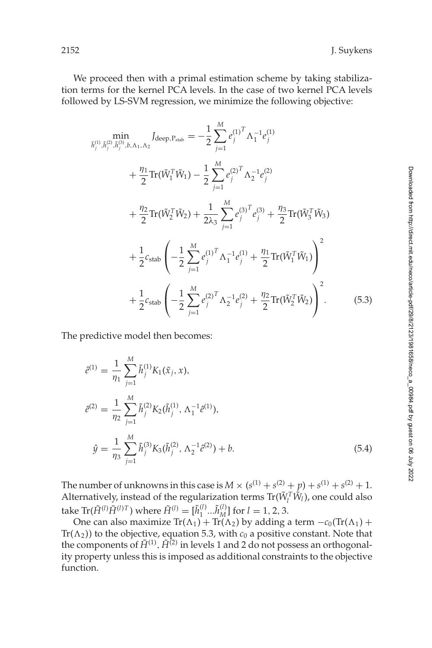<span id="page-29-0"></span>We proceed then with a primal estimation scheme by taking stabilization terms for the kernel PCA levels. In the case of two kernel PCA levels followed by LS-SVM regression, we minimize the following objective:

$$
\begin{split}\n\min_{\tilde{h}_{j}^{(1)}, \tilde{h}_{j}^{(2)}, \tilde{h}_{j}^{(3)}, b, \Lambda_{1}, \Lambda_{2}} I_{\text{deep}, P_{\text{stab}}} &= -\frac{1}{2} \sum_{j=1}^{M} e_{j}^{(1)} \Lambda_{1}^{-1} e_{j}^{(1)} \\
&+ \frac{\eta_{1}}{2} \text{Tr}(\tilde{W}_{1}^{T} \tilde{W}_{1}) - \frac{1}{2} \sum_{j=1}^{M} e_{j}^{(2)} \Lambda_{2}^{-1} e_{j}^{(2)} \\
&+ \frac{\eta_{2}}{2} \text{Tr}(\tilde{W}_{2}^{T} \tilde{W}_{2}) + \frac{1}{2 \lambda_{3}} \sum_{j=1}^{M} e_{j}^{(3)} \tilde{V}_{j}^{(3)} + \frac{\eta_{3}}{2} \text{Tr}(\tilde{W}_{3}^{T} \tilde{W}_{3}) \\
&+ \frac{1}{2} c_{\text{stab}} \left( -\frac{1}{2} \sum_{j=1}^{M} e_{j}^{(1)} \Lambda_{1}^{-1} e_{j}^{(1)} + \frac{\eta_{1}}{2} \text{Tr}(\tilde{W}_{1}^{T} \tilde{W}_{1}) \right)^{2} \\
&+ \frac{1}{2} c_{\text{stab}} \left( -\frac{1}{2} \sum_{j=1}^{M} e_{j}^{(2)} \Lambda_{2}^{-1} e_{j}^{(2)} + \frac{\eta_{2}}{2} \text{Tr}(\tilde{W}_{2}^{T} \tilde{W}_{2}) \right)^{2}.\n\end{split} \tag{5.3}
$$

The predictive model then becomes:

$$
\hat{e}^{(1)} = \frac{1}{\eta_1} \sum_{j=1}^{M} \tilde{h}_j^{(1)} K_1(\tilde{x}_j, x),
$$
  
\n
$$
\hat{e}^{(2)} = \frac{1}{\eta_2} \sum_{j=1}^{M} \tilde{h}_j^{(2)} K_2(\tilde{h}_j^{(1)}, \Lambda_1^{-1} \hat{e}^{(1)}),
$$
  
\n
$$
\hat{y} = \frac{1}{\eta_3} \sum_{j=1}^{M} \tilde{h}_j^{(3)} K_3(\tilde{h}_j^{(2)}, \Lambda_2^{-1} \hat{e}^{(2)}) + b.
$$
\n(5.4)

The number of unknowns in this case is  $M \times (s^{(1)} + s^{(2)} + p) + s^{(1)} + s^{(2)} + 1$ . Alternatively, instead of the regularization terms  $Tr(\tilde{W}_l^T \tilde{W}_l)$ , one could also take  $\text{Tr}(\tilde{H}^{(l)}\tilde{H}^{(l)T})$  where  $\tilde{H}^{(l)} = [\tilde{h}_1^{(l)}...\tilde{h}_M^{(l)}]$  for  $l = 1, 2, 3$ .

One can also maximize  $Tr(\Lambda_1) + Tr(\Lambda_2)$  by adding a term  $-c_0(Tr(\Lambda_1) +$ Tr( $\Lambda$ <sub>2</sub>)) to the objective, equation 5.3, with  $c_0$  a positive constant. Note that the components of  $\tilde{H}^{(1)}$ ,  $\tilde{H}^{(2)}$  in levels 1 and 2 do not possess an orthogonality property unless this is imposed as additional constraints to the objective function.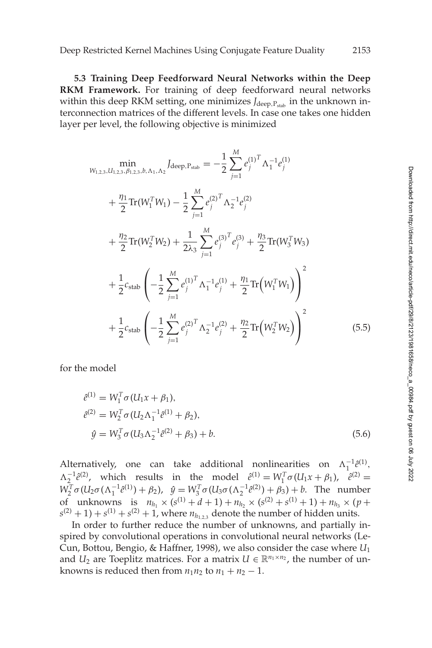<span id="page-30-0"></span>**5.3 Training Deep Feedforward Neural Networks within the Deep RKM Framework.** For training of deep feedforward neural networks within this deep RKM setting, one minimizes *J*<sub>deep, Pstab</sub> in the unknown interconnection matrices of the different levels. In case one takes one hidden layer per level, the following objective is minimized

$$
\begin{split}\n&\min_{W_{1,2,3}, U_{1,2,3}, \beta_{1,2,3}, b, \Lambda_{1}, \Lambda_{2}} \text{Jdeep.Pstab} = -\frac{1}{2} \sum_{j=1}^{M} e_{j}^{(1)^{T}} \Lambda_{1}^{-1} e_{j}^{(1)} \\
&+ \frac{\eta_{1}}{2} \text{Tr}(W_{1}^{T} W_{1}) - \frac{1}{2} \sum_{j=1}^{M} e_{j}^{(2)^{T}} \Lambda_{2}^{-1} e_{j}^{(2)} \\
&+ \frac{\eta_{2}}{2} \text{Tr}(W_{2}^{T} W_{2}) + \frac{1}{2\lambda_{3}} \sum_{j=1}^{M} e_{j}^{(3)^{T}} e_{j}^{(3)} + \frac{\eta_{3}}{2} \text{Tr}(W_{3}^{T} W_{3}) \\
&+ \frac{1}{2} c_{\text{stab}} \left( -\frac{1}{2} \sum_{j=1}^{M} e_{j}^{(1)^{T}} \Lambda_{1}^{-1} e_{j}^{(1)} + \frac{\eta_{1}}{2} \text{Tr}\left(W_{1}^{T} W_{1}\right) \right)^{2} \\
&+ \frac{1}{2} c_{\text{stab}} \left( -\frac{1}{2} \sum_{j=1}^{M} e_{j}^{(2)^{T}} \Lambda_{2}^{-1} e_{j}^{(2)} + \frac{\eta_{2}}{2} \text{Tr}\left(W_{2}^{T} W_{2}\right) \right)^{2}\n\end{split} \tag{5.5}
$$

for the model

$$
\begin{aligned}\n\hat{e}^{(1)} &= W_1^T \sigma (U_1 x + \beta_1), \\
\hat{e}^{(2)} &= W_2^T \sigma (U_2 \Lambda_1^{-1} \hat{e}^{(1)} + \beta_2), \\
\hat{y} &= W_3^T \sigma (U_3 \Lambda_2^{-1} \hat{e}^{(2)} + \beta_3) + b.\n\end{aligned} \tag{5.6}
$$

Alternatively, one can take additional nonlinearities on  $\Lambda_1^{-1} \hat{e}^{(1)}$ ,  $\Lambda_2^{-1} \hat{e}^{(2)}$ , which results in the model  $\hat{e}^{(1)} = W_1^T \sigma (U_1 x + \beta_1)$ ,  $\hat{e}^{(2)} =$  $W_2^T$ σ (*U*<sub>2</sub>σ (Λ<sub>1</sub><sup>-1</sup>θ<sup>(1)</sup>) + β<sub>2</sub>),  $\hat{y} = W_3^T$ σ (*U*<sub>3</sub>σ (Λ<sub>2</sub><sup>-1</sup>θ<sup>(2)</sup>) + β<sub>3</sub>) + b. The number of unknowns is  $n_{h_1} \times (s^{(1)} + d + 1) + n_{h_2} \times (s^{(2)} + s^{(1)} + 1) + n_{h_3} \times (p +$  $s^{(2)} + 1$ ) +  $s^{(1)} + s^{(2)} + 1$ , where  $n_{h_1,2}$  denote the number of hidden units.

In order to further reduce the number of unknowns, and partially inspired by convolutional operations in convolutional neural networks (Le-Cun, Bottou, Bengio, & Haffner, 1998), we also consider the case where *U*<sup>1</sup> and  $U_2$  are Toeplitz matrices. For a matrix  $U \in \mathbb{R}^{n_1 \times n_2}$ , the number of unknowns is reduced then from  $n_1n_2$  to  $n_1 + n_2 - 1$ .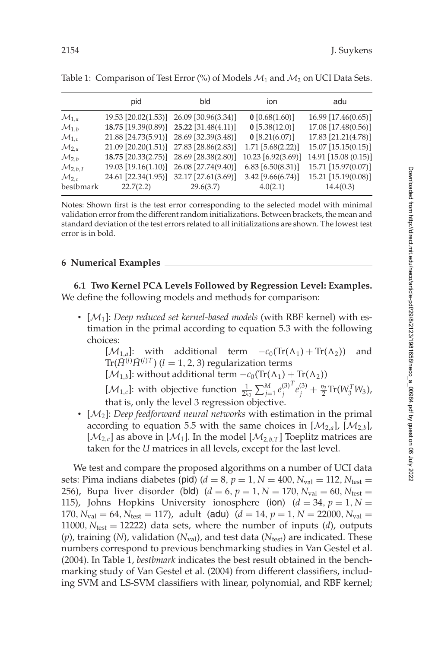|                       | pid                                     | bld                                     | ion                 | adu                   |
|-----------------------|-----------------------------------------|-----------------------------------------|---------------------|-----------------------|
| $\mathcal{M}_{1,a}$   |                                         | 19.53 [20.02(1.53)] 26.09 [30.96(3.34)] | $0$ [0.68(1.60)]    | $16.99$ [17.46(0.65)] |
| $\mathcal{M}_{1,b}$   |                                         | 18.75 [19.39(0.89)] 25.22 [31.48(4.11)] | $0$ [5.38(12.0)]    | 17.08 [17.48(0.56)]   |
| $\mathcal{M}_{1,c}$   |                                         | 21.88 [24.73(5.91)] 28.69 [32.39(3.48)] | $0$ [8.21(6.07)]    | 17.83 [21.21(4.78)]   |
| $\mathcal{M}_{2,a}$   |                                         | 21.09 [20.20(1.51)] 27.83 [28.86(2.83)] | $1.71$ [5.68(2.22)] | 15.07 [15.15(0.15)]   |
| $\mathcal{M}_{2,b}$   |                                         | 18.75 [20.33(2.75)] 28.69 [28.38(2.80)] | 10.23 [6.92(3.69)]  | 14.91 [15.08 (0.15)]  |
| $\mathcal{M}_{2,h,T}$ |                                         | 19.03 [19.16(1.10)] 26.08 [27.74(9.40)] | $6.83$ [6.50(8.31)] | 15.71 [15.97(0.07)]   |
| $\mathcal{M}_{2,c}$   | 24.61 [22.34(1.95)] 32.17 [27.61(3.69)] |                                         | $3.42$ [9.66(6.74)] | 15.21 [15.19(0.08)]   |
| bestbmark             | 22.7(2.2)                               | 29.6(3.7)                               | 4.0(2.1)            | 14.4(0.3)             |

<span id="page-31-0"></span>Table 1: Comparison of Test Error (%) of Models  $M_1$  and  $M_2$  on UCI Data Sets.

Notes: Shown first is the test error corresponding to the selected model with minimal validation error from the different random initializations. Between brackets, the mean and standard deviation of the test errors related to all initializations are shown. The lowest test error is in bold.

#### **6 Numerical Examples**

**6.1 Two Kernel PCA Levels Followed by Regression Level: Examples.** We define the following models and methods for comparison:

• [M1]: *Deep reduced set kernel-based models* (with RBF kernel) with estimation in the primal according to equation [5.3](#page-29-0) with the following choices:

[ $\mathcal{M}_{1,a}$ ]: with additional term  $-c_0(\text{Tr}(\Lambda_1) + \text{Tr}(\Lambda_2))$  and  $\text{Tr}(\tilde{H}^{(l)}\tilde{H}^{(l)T})$   $(l = 1, 2, 3)$  regularization terms

[ $\mathcal{M}_{1,b}$ ]: without additional term  $-c_0(\text{Tr}(\Lambda_1) + \text{Tr}(\Lambda_2))$ 

[*M*<sub>1,*c*</sub>]: with objective function  $\frac{1}{2\lambda_3} \sum_{j=1}^{M} e_j^{(3)}$  $T e_j^{(3)} + \frac{\eta_3}{2} \text{Tr}(W_3^TW_3)$  , that is, only the level 3 regression objective.

• [ $M_2$ ]: *Deep feedforward neural networks* with estimation in the primal according to equation [5.5](#page-30-0) with the same choices in  $[\mathcal{M}_{2a}]$ ,  $[\mathcal{M}_{2b}]$ ,  $[\mathcal{M}_{2,c}]$  as above in  $[\mathcal{M}_1]$ . In the model  $[\mathcal{M}_{2,b,T}]$  Toeplitz matrices are taken for the *U* matrices in all levels, except for the last level.

We test and compare the proposed algorithms on a number of UCI data sets: Pima indians diabetes (pid)  $(d = 8, p = 1, N = 400, N_{val} = 112, N_{test} =$ 256), Bupa liver disorder (bld)  $(d = 6, p = 1, N = 170, N_{val} = 60, N_{test} =$ 115), Johns Hopkins University ionosphere (ion)  $(d = 34, p = 1, N = 1)$ 170,  $N_{val} = 64$ ,  $N_{test} = 117$ , adult (adu) ( $d = 14$ ,  $p = 1$ ,  $N = 22000$ ,  $N_{val} =$ 11000,  $N_{\text{test}} = 12222$ ) data sets, where the number of inputs (*d*), outputs  $(p)$ , training (*N*), validation ( $N_{val}$ ), and test data ( $N_{test}$ ) are indicated. These numbers correspond to previous benchmarking studies in Van Gestel et al. [\(2004\)](#page-40-0). In Table 1, *bestbmark* indicates the best result obtained in the benchmarking study of Van Gestel et al. [\(2004\)](#page-40-0) from different classifiers, including SVM and LS-SVM classifiers with linear, polynomial, and RBF kernel;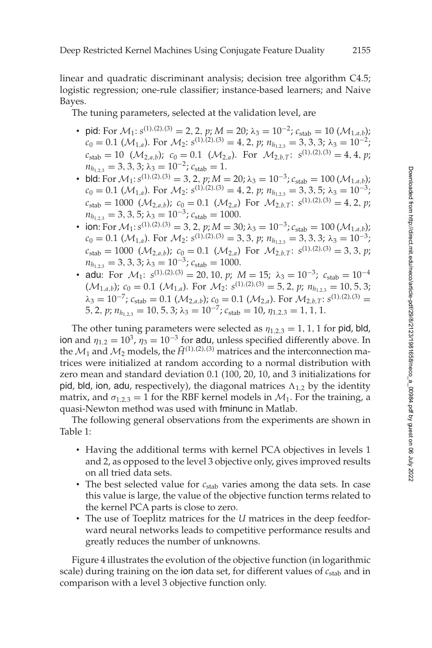linear and quadratic discriminant analysis; decision tree algorithm C4.5; logistic regression; one-rule classifier; instance-based learners; and Naive Bayes.

The tuning parameters, selected at the validation level, are

- pid: For  $\mathcal{M}_1$ :  $s^{(1),(2),(3)} = 2, 2, p$ ;  $M = 20$ ;  $\lambda_3 = 10^{-2}$ ;  $c_{stab} = 10 (\mathcal{M}_{1,a,b})$ ;  $c_0 = 0.1$  ( $\mathcal{M}_{1,a}$ ). For  $\mathcal{M}_2$ :  $s^{(1),(2),(3)} = 4, 2, p; n_{h_{1,2,3}} = 3, 3, 3; \lambda_3 = 10^{-2};$  $c_{\text{stab}} = 10 \ (\mathcal{M}_{2,a,b})$ ;  $c_0 = 0.1 \ (\mathcal{M}_{2,a})$ . For  $\mathcal{M}_{2,b,T}$ :  $s^{(1),(2),(3)} = 4, 4, p$ ;  $n_{h_{1,2,3}} = 3, 3, 3; \lambda_3 = 10^{-2}; c_{\text{stab}} = 1.$
- bld: For  $\mathcal{M}_1$ :  $s^{(1),(2),(3)} = 3, 2, p; M = 20; \lambda_3 = 10^{-3}; c_{\text{stab}} = 100 \, (\mathcal{M}_{1,a,b});$  $c_0 = 0.1$  ( $\mathcal{M}_{1,a}$ ). For  $\mathcal{M}_2$ :  $s^{(1),(2),(3)} = 4, 2, p; n_{h_{1,2,3}} = 3, 3, 5; \lambda_3 = 10^{-3}$ ;  $c_{\text{stab}} = 1000 \ (\mathcal{M}_{2,a,b}); \ c_0 = 0.1 \ (\mathcal{M}_{2,a})$  For  $\mathcal{M}_{2,b,T}: s^{(1),(2),(3)} = 4, 2, p;$  $n_{h_{1,2,3}} = 3, 3, 5; \lambda_3 = 10^{-3}; c_{\text{stab}} = 1000.$
- ion: For  $\mathcal{M}_1$ : *s*<sup>(1),(2),(3) = 3, 2, *p*; *M* = 30;  $\lambda_3 = 10^{-3}$ ;  $c_{\text{stab}} = 100 \, (\mathcal{M}_{1,a,b})$ ;</sup>  $c_0 = 0.1$  ( $\mathcal{M}_{1,a}$ ). For  $\mathcal{M}_2$ :  $s^{(1),(2),(3)} = 3, 3, p; n_{h_{1,2,3}} = 3, 3, 3; \lambda_3 = 10^{-3}$ ;  $c_{\text{stab}} = 1000 \ (\mathcal{M}_{2,a,b}); \ c_0 = 0.1 \ (\mathcal{M}_{2,a}) \ \text{For} \ \mathcal{M}_{2,b,T}: \ s^{(1),(2),(3)} = 3,3,\ p;$  $n_{h_{1,2,3}} = 3, 3, 3; \lambda_3 = 10^{-3}; c_{\text{stab}} = 1000.$
- adu: For  $\mathcal{M}_1$ :  $s^{(1),(2),(3)} = 20, 10, p$ ;  $M = 15$ ;  $\lambda_3 = 10^{-3}$ ;  $c_{\text{stab}} = 10^{-4}$  $(\mathcal{M}_{1,a,b})$ ;  $c_0 = 0.1$   $(\mathcal{M}_{1,a})$ . For  $\mathcal{M}_2$ :  $s^{(1),(2),(3)} = 5, 2, p$ ;  $n_{h_{1,2,3}} = 10, 5, 3;$  $\lambda_3 = 10^{-7}$ ;  $c_{\text{stab}} = 0.1$  ( $\mathcal{M}_{2,a,b}$ );  $c_0 = 0.1$  ( $\mathcal{M}_{2,a}$ ). For  $\mathcal{M}_{2,b,T}$ :  $s^{(1),(2),(3)} =$ 5, 2, *p*;  $n_{h_{1,2,3}} = 10, 5, 3$ ;  $\lambda_3 = 10^{-7}$ ;  $c_{stab} = 10$ ,  $\eta_{1,2,3} = 1, 1, 1$ .

The other tuning parameters were selected as  $\eta_{1,2,3} = 1, 1, 1$  for pid, bld, ion and  $\eta_{1,2} = 10^3$ ,  $\eta_3 = 10^{-3}$  for adu, unless specified differently above. In the  $\mathcal{M}_1$  and  $\mathcal{M}_2$  models, the  $\tilde{H}^{(1),(2),(3)}$  matrices and the interconnection matrices were initialized at random according to a normal distribution with zero mean and standard deviation 0.1 (100, 20, 10, and 3 initializations for pid, bld, ion, adu, respectively), the diagonal matrices  $\Lambda_{1,2}$  by the identity matrix, and  $\sigma_{1,2,3} = 1$  for the RBF kernel models in  $\mathcal{M}_1$ . For the training, a quasi-Newton method was used with fminunc in Matlab.

The following general observations from the experiments are shown in Table 1:

- Having the additional terms with kernel PCA objectives in levels 1 and 2, as opposed to the level 3 objective only, gives improved results on all tried data sets.
- The best selected value for *c*<sub>stab</sub> varies among the data sets. In case this value is large, the value of the objective function terms related to the kernel PCA parts is close to zero.
- The use of Toeplitz matrices for the *U* matrices in the deep feedforward neural networks leads to competitive performance results and greatly reduces the number of unknowns.

Figure 4 illustrates the evolution of the objective function (in logarithmic scale) during training on the ion data set, for different values of *c*stab and in comparison with a level 3 objective function only.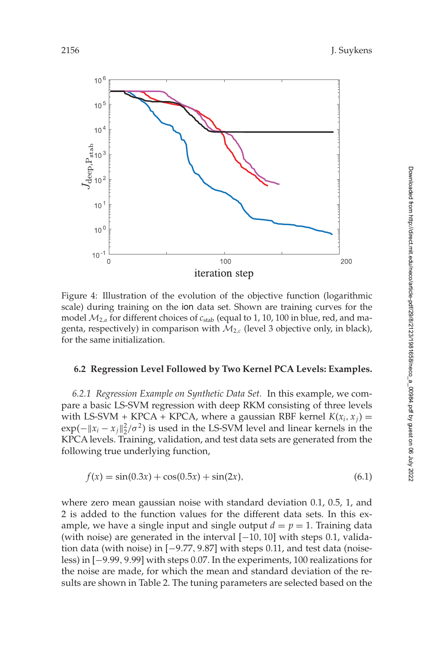

Figure 4: Illustration of the evolution of the objective function (logarithmic scale) during training on the ion data set. Shown are training curves for the model  $M_{2,a}$  for different choices of  $c_{stab}$  (equal to 1, 10, 100 in blue, red, and magenta, respectively) in comparison with  $M_{2,c}$  (level 3 objective only, in black), for the same initialization.

#### **6.2 Regression Level Followed by Two Kernel PCA Levels: Examples.**

*6.2.1 Regression Example on Synthetic Data Set.* In this example, we compare a basic LS-SVM regression with deep RKM consisting of three levels with LS-SVM + KPCA + KPCA, where a gaussian RBF kernel  $K(x_i, x_j) =$  $\exp(-||x_i - x_j||_2^2/\sigma^2)$  is used in the LS-SVM level and linear kernels in the KPCA levels. Training, validation, and test data sets are generated from the following true underlying function,

$$
f(x) = \sin(0.3x) + \cos(0.5x) + \sin(2x),\tag{6.1}
$$

where zero mean gaussian noise with standard deviation 0.1, 0.5, 1, and 2 is added to the function values for the different data sets. In this example, we have a single input and single output  $d = p = 1$ . Training data (with noise) are generated in the interval [−10, 10] with steps 0.1, validation data (with noise) in [−9.77, 9.87] with steps 0.11, and test data (noiseless) in [−9.99, 9.99] with steps 0.07. In the experiments, 100 realizations for the noise are made, for which the mean and standard deviation of the results are shown in Table 2. The tuning parameters are selected based on the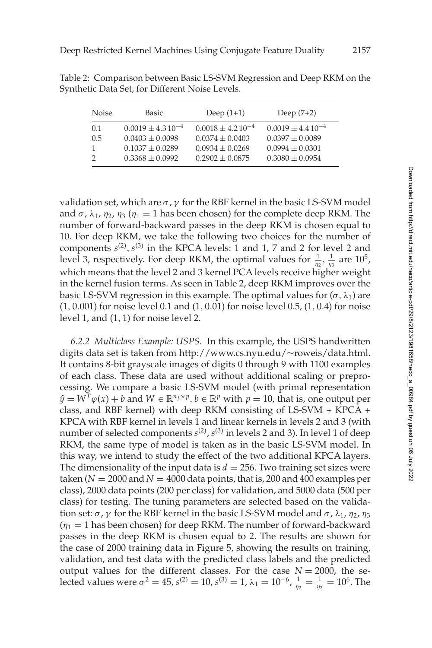| <b>Noise</b> | Basic                 | Deep $(1+1)$          | Deep $(7+2)$          |
|--------------|-----------------------|-----------------------|-----------------------|
| 0.1          | $0.0019 + 4.310^{-4}$ | $0.0018 + 4.210^{-4}$ | $0.0019 + 4.410^{-4}$ |
| 0.5          | $0.0403 + 0.0098$     | $0.0374 + 0.0403$     | $0.0397 + 0.0089$     |
|              | $0.1037 + 0.0289$     | $0.0934 + 0.0269$     | $0.0994 + 0.0301$     |
|              | $0.3368 \pm 0.0992$   | $0.2902 + 0.0875$     | $0.3080 + 0.0954$     |

Table 2: Comparison between Basic LS-SVM Regression and Deep RKM on the Synthetic Data Set, for Different Noise Levels.

validation set, which are  $\sigma$ ,  $\gamma$  for the RBF kernel in the basic LS-SVM model and  $\sigma$ ,  $\lambda_1$ ,  $\eta_2$ ,  $\eta_3$  ( $\eta_1 = 1$  has been chosen) for the complete deep RKM. The number of forward-backward passes in the deep RKM is chosen equal to 10. For deep RKM, we take the following two choices for the number of components  $s^{(2)}$ ,  $s^{(3)}$  in the KPCA levels: 1 and 1, 7 and 2 for level 2 and level 3, respectively. For deep RKM, the optimal values for  $\frac{1}{\eta_2}, \frac{1}{\eta_3}$  are  $10^5$ , which means that the level 2 and 3 kernel PCA levels receive higher weight in the kernel fusion terms. As seen in Table 2, deep RKM improves over the basic LS-SVM regression in this example. The optimal values for  $(\sigma, \lambda_1)$  are (1, 0.001) for noise level 0.1 and (1, 0.01) for noise level 0.5, (1, 0.4) for noise level 1, and (1, 1) for noise level 2.

*6.2.2 Multiclass Example: USPS.* In this example, the USPS handwritten digits data set is taken from http://www.cs.nyu.edu/∼roweis/data.html. It contains 8-bit grayscale images of digits 0 through 9 with 1100 examples of each class. These data are used without additional scaling or preprocessing. We compare a basic LS-SVM model (with primal representation  $\hat{y} = W^T \varphi(x) + b$  and  $W \in \mathbb{R}^{n_f \times p}$ ,  $b \in \mathbb{R}^p$  with  $p = 10$ , that is, one output per class, and RBF kernel) with deep RKM consisting of LS-SVM + KPCA + KPCA with RBF kernel in levels 1 and linear kernels in levels 2 and 3 (with number of selected components  $s^{(2)}$ ,  $s^{(3)}$  in levels 2 and 3). In level 1 of deep RKM, the same type of model is taken as in the basic LS-SVM model. In this way, we intend to study the effect of the two additional KPCA layers. The dimensionality of the input data is  $d = 256$ . Two training set sizes were taken ( $N = 2000$  and  $N = 4000$  data points, that is, 200 and 400 examples per class), 2000 data points (200 per class) for validation, and 5000 data (500 per class) for testing. The tuning parameters are selected based on the validation set:  $\sigma$ ,  $\gamma$  for the RBF kernel in the basic LS-SVM model and  $\sigma$ ,  $\lambda_1$ ,  $\eta_2$ ,  $\eta_3$  $(\eta_1 = 1$  has been chosen) for deep RKM. The number of forward-backward passes in the deep RKM is chosen equal to 2. The results are shown for the case of 2000 training data in Figure 5, showing the results on training, validation, and test data with the predicted class labels and the predicted output values for the different classes. For the case  $N = 2000$ , the selected values were  $\sigma^2 = 45$ ,  $s^{(2)} = 10$ ,  $s^{(3)} = 1$ ,  $\lambda_1 = 10^{-6}$ ,  $\frac{1}{\eta_2} = \frac{1}{\eta_3} = 10^6$ . The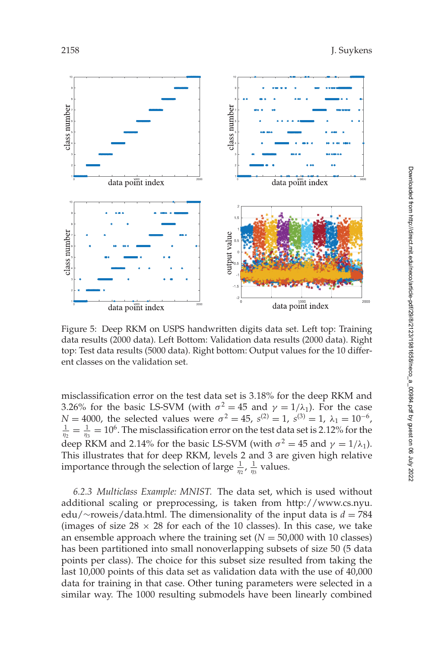

Figure 5: Deep RKM on USPS handwritten digits data set. Left top: Training data results (2000 data). Left Bottom: Validation data results (2000 data). Right top: Test data results (5000 data). Right bottom: Output values for the 10 different classes on the validation set.

misclassification error on the test data set is 3.18% for the deep RKM and 3.26% for the basic LS-SVM (with  $\sigma^2 = 45$  and  $\gamma = 1/\lambda_1$ ). For the case *N* = 4000, the selected values were  $\sigma^2 = 45$ ,  $s^{(2)} = 1$ ,  $s^{(3)} = 1$ ,  $\lambda_1 = 10^{-6}$ ,  $\frac{1}{\eta_2} = \frac{1}{\eta_3} = 10^6$ . The misclassification error on the test data set is 2.12% for the deep RKM and 2.14% for the basic LS-SVM (with  $\sigma^2 = 45$  and  $\gamma = 1/\lambda_1$ ). This illustrates that for deep RKM, levels 2 and 3 are given high relative importance through the selection of large  $\frac{1}{\eta_2}$ ,  $\frac{1}{\eta_3}$  values.

*6.2.3 Multiclass Example: MNIST.* The data set, which is used without additional scaling or preprocessing, is taken from http://www.cs.nyu. edu/∼roweis/data.html. The dimensionality of the input data is *d* = 784 (images of size  $28 \times 28$  for each of the 10 classes). In this case, we take an ensemble approach where the training set  $(N = 50,000$  with 10 classes) has been partitioned into small nonoverlapping subsets of size 50 (5 data points per class). The choice for this subset size resulted from taking the last 10,000 points of this data set as validation data with the use of 40,000 data for training in that case. Other tuning parameters were selected in a similar way. The 1000 resulting submodels have been linearly combined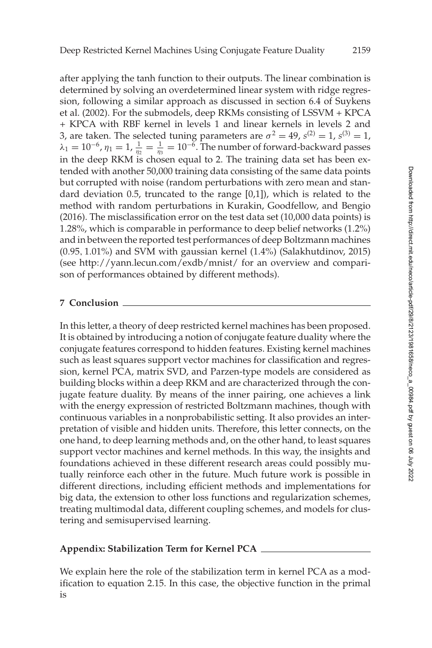<span id="page-36-0"></span>after applying the tanh function to their outputs. The linear combination is determined by solving an overdetermined linear system with ridge regression, following a similar approach as discussed in section 6.4 of Suykens et al. [\(2002\)](#page-40-0). For the submodels, deep RKMs consisting of LSSVM + KPCA + KPCA with RBF kernel in levels 1 and linear kernels in levels 2 and 3, are taken. The selected tuning parameters are  $\sigma^2 = 49$ ,  $s^{(2)} = 1$ ,  $s^{(3)} = 1$ ,  $\lambda_1 = 10^{-6}$ ,  $\eta_1 = 1$ ,  $\frac{1}{\eta_2} = \frac{1}{\eta_3} = 10^{-\bar{6}}$ . The number of forward-backward passes in the deep RKM is chosen equal to 2. The training data set has been extended with another 50,000 training data consisting of the same data points but corrupted with noise (random perturbations with zero mean and standard deviation 0.5, truncated to the range [0,1]), which is related to the method with random perturbations in Kurakin, Goodfellow, and Bengio [\(2016\)](#page-38-0). The misclassification error on the test data set (10,000 data points) is 1.28%, which is comparable in performance to deep belief networks (1.2%) and in between the reported test performances of deep Boltzmann machines (0.95, 1.01%) and SVM with gaussian kernel (1.4%) (Salakhutdinov, [2015\)](#page-39-0) (see http://yann.lecun.com/exdb/mnist/ for an overview and comparison of performances obtained by different methods).

## **7 Conclusion**

In this letter, a theory of deep restricted kernel machines has been proposed. It is obtained by introducing a notion of conjugate feature duality where the conjugate features correspond to hidden features. Existing kernel machines such as least squares support vector machines for classification and regression, kernel PCA, matrix SVD, and Parzen-type models are considered as building blocks within a deep RKM and are characterized through the conjugate feature duality. By means of the inner pairing, one achieves a link with the energy expression of restricted Boltzmann machines, though with continuous variables in a nonprobabilistic setting. It also provides an interpretation of visible and hidden units. Therefore, this letter connects, on the one hand, to deep learning methods and, on the other hand, to least squares support vector machines and kernel methods. In this way, the insights and foundations achieved in these different research areas could possibly mutually reinforce each other in the future. Much future work is possible in different directions, including efficient methods and implementations for big data, the extension to other loss functions and regularization schemes, treating multimodal data, different coupling schemes, and models for clustering and semisupervised learning.

## **Appendix: Stabilization Term for Kernel PCA**

We explain here the role of the stabilization term in kernel PCA as a modification to equation [2.15.](#page-8-0) In this case, the objective function in the primal is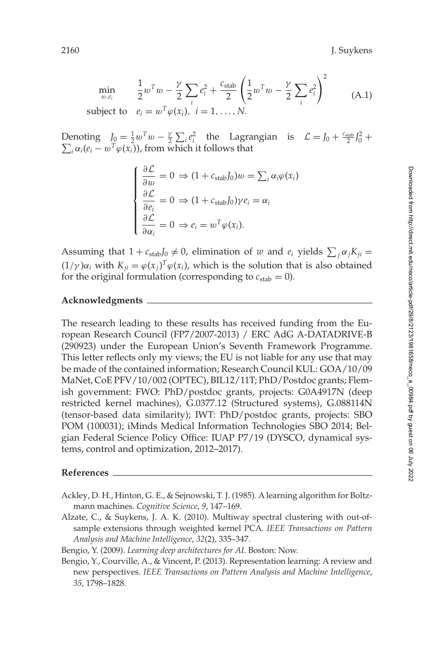<span id="page-37-0"></span>
$$
\min_{w,e_i} \qquad \frac{1}{2} w^T w - \frac{\gamma}{2} \sum_i e_i^2 + \frac{c_{\text{stab}}}{2} \left( \frac{1}{2} w^T w - \frac{\gamma}{2} \sum_i e_i^2 \right)^2 \qquad (A.1)
$$
\nsubject to

\n
$$
e_i = w^T \varphi(x_i), \quad i = 1, \ldots, N.
$$

Denoting  $J_0 = \frac{1}{2} w^T w - \frac{\gamma}{2} \sum_i e_i^2$  the Lagrangian is  $\mathcal{L} = J_0 + \frac{c_{\text{stab}}}{2} J_0^2 +$  $\sum_i \alpha_i (e_i - w^T \varphi(x_i))$ , from which it follows that

$$
\begin{cases}\n\frac{\partial \mathcal{L}}{\partial w} = 0 \Rightarrow (1 + c_{\text{stab}})_0 w = \sum_i \alpha_i \varphi(x_i) \\
\frac{\partial \mathcal{L}}{\partial e_i} = 0 \Rightarrow (1 + c_{\text{stab}})_0 \gamma e_i = \alpha_i \\
\frac{\partial \mathcal{L}}{\partial \alpha_i} = 0 \Rightarrow e_i = w^T \varphi(x_i).\n\end{cases}
$$

Assuming that  $1 + c_{stab}J_0 \neq 0$ , elimination of *w* and  $e_i$  yields  $\sum_j \alpha_j K_{ji} =$  $(1/\gamma)\alpha_i$  with  $K_{ji} = \varphi(x_j)^T \varphi(x_i)$ , which is the solution that is also obtained for the original formulation (corresponding to  $c_{stab} = 0$ ).

#### **Acknowledgments**

The research leading to these results has received funding from the European Research Council (FP7/2007-2013) / ERC AdG A-DATADRIVE-B (290923) under the European Union's Seventh Framework Programme. This letter reflects only my views; the EU is not liable for any use that may be made of the contained information; Research Council KUL: GOA/10/09 MaNet, CoE PFV/10/002 (OPTEC), BIL12/11T; PhD/Postdoc grants; Flemish government: FWO: PhD/postdoc grants, projects: G0A4917N (deep restricted kernel machines), G.0377.12 (Structured systems), G.088114N (tensor-based data similarity); IWT: PhD/postdoc grants, projects: SBO POM (100031); iMinds Medical Information Technologies SBO 2014; Belgian Federal Science Policy Office: IUAP P7/19 (DYSCO, dynamical systems, control and optimization, 2012–2017).

#### **References**

- Ackley, D. H., Hinton, G. E., & Sejnowski, T. J. (1985). A learning algorithm for Boltzmann machines. *Cognitive Science*, *9*, 147–169.
- Alzate, C., & Suykens, J. A. K. (2010). Multiway spectral clustering with out-ofsample extensions through weighted kernel PCA. *IEEE Transactions on Pattern Analysis and Machine Intelligence*, *32*(2), 335–347.

Bengio, Y. (2009). *Learning deep architectures for AI*. Boston: Now.

Bengio, Y., Courville, A., & Vincent, P. (2013). Representation learning: A review and new perspectives. *IEEE Transactions on Pattern Analysis and Machine Intelligence*, *35*, 1798–1828.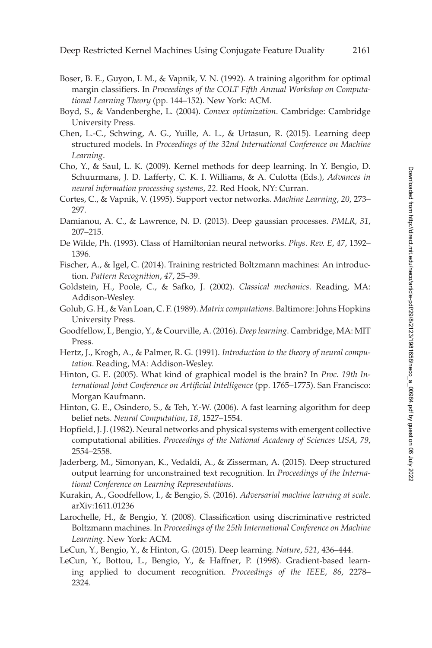- <span id="page-38-0"></span>Boser, B. E., Guyon, I. M., & Vapnik, V. N. (1992). A training algorithm for optimal margin classifiers. In *Proceedings of the COLT Fifth Annual Workshop on Computational Learning Theory* (pp. 144–152). New York: ACM.
- Boyd, S., & Vandenberghe, L. (2004). *Convex optimization*. Cambridge: Cambridge University Press.
- Chen, L.-C., Schwing, A. G., Yuille, A. L., & Urtasun, R. (2015). Learning deep structured models. In *Proceedings of the 32nd International Conference on Machine Learning*.
- Cho, Y., & Saul, L. K. (2009). Kernel methods for deep learning. In Y. Bengio, D. Schuurmans, J. D. Lafferty, C. K. I. Williams, & A. Culotta (Eds.), *Advances in neural information processing systems*, *22*. Red Hook, NY: Curran.
- Cortes, C., & Vapnik, V. (1995). Support vector networks. *Machine Learning*, *20*, 273– 297.
- Damianou, A. C., & Lawrence, N. D. (2013). Deep gaussian processes. *PMLR, 31*, 207–215.
- De Wilde, Ph. (1993). Class of Hamiltonian neural networks. *Phys. Rev. E*, *47*, 1392– 1396.
- Fischer, A., & Igel, C. (2014). Training restricted Boltzmann machines: An introduction. *Pattern Recognition*, *47*, 25–39.
- Goldstein, H., Poole, C., & Safko, J. (2002). *Classical mechanics*. Reading, MA: Addison-Wesley.
- Golub, G. H., & Van Loan, C. F. (1989). *Matrix computations*. Baltimore: Johns Hopkins University Press.
- Goodfellow, I., Bengio, Y., & Courville, A. (2016). *Deep learning*. Cambridge, MA: MIT Press.
- Hertz, J., Krogh, A., & Palmer, R. G. (1991). *Introduction to the theory of neural computation*. Reading, MA: Addison-Wesley.
- Hinton, G. E. (2005). What kind of graphical model is the brain? In *Proc. 19th International Joint Conference on Artificial Intelligence* (pp. 1765–1775). San Francisco: Morgan Kaufmann.
- Hinton, G. E., Osindero, S., & Teh, Y.-W. (2006). A fast learning algorithm for deep belief nets. *Neural Computation*, *18*, 1527–1554.
- Hopfield, J. J. (1982). Neural networks and physical systems with emergent collective computational abilities. *Proceedings of the National Academy of Sciences USA*, *79*, 2554–2558.
- Jaderberg, M., Simonyan, K., Vedaldi, A., & Zisserman, A. (2015). Deep structured output learning for unconstrained text recognition. In *Proceedings of the International Conference on Learning Representations*.
- Kurakin, A., Goodfellow, I., & Bengio, S. (2016). *Adversarial machine learning at scale*. arXiv:1611.01236
- Larochelle, H., & Bengio, Y. (2008). Classification using discriminative restricted Boltzmann machines. In *Proceedings of the 25th International Conference on Machine Learning*. New York: ACM.
- LeCun, Y., Bengio, Y., & Hinton, G. (2015). Deep learning. *Nature*, *521*, 436–444.
- LeCun, Y., Bottou, L., Bengio, Y., & Haffner, P. (1998). Gradient-based learning applied to document recognition. *Proceedings of the IEEE*, *86*, 2278– 2324.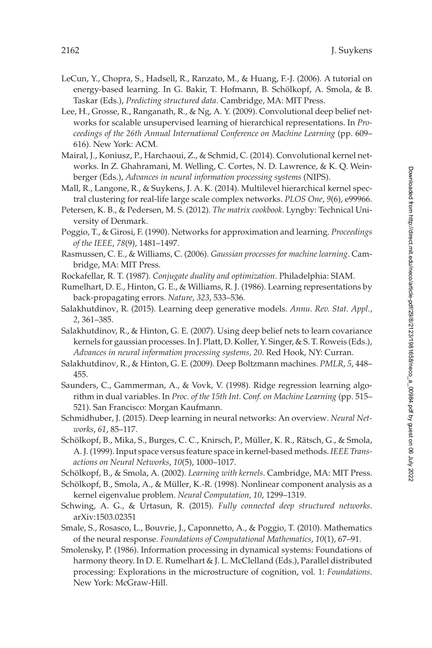- <span id="page-39-0"></span>LeCun, Y., Chopra, S., Hadsell, R., Ranzato, M., & Huang, F.-J. (2006). A tutorial on energy-based learning. In G. Bakir, T. Hofmann, B. Schölkopf, A. Smola, & B. Taskar (Eds.), *Predicting structured data*. Cambridge, MA: MIT Press.
- Lee, H., Grosse, R., Ranganath, R., & Ng, A. Y. (2009). Convolutional deep belief networks for scalable unsupervised learning of hierarchical representations. In *Proceedings of the 26th Annual International Conference on Machine Learning* (pp. 609– 616). New York: ACM.
- Mairal, J., Koniusz, P., Harchaoui, Z., & Schmid, C. (2014). Convolutional kernel networks. In Z. Ghahramani, M. Welling, C. Cortes, N. D. Lawrence, & K. Q. Weinberger (Eds.), *Advances in neural information processing systems* (NIPS).
- Mall, R., Langone, R., & Suykens, J. A. K. (2014). Multilevel hierarchical kernel spectral clustering for real-life large scale complex networks. *PLOS One*, *9*(6), e99966.
- Petersen, K. B., & Pedersen, M. S. (2012). *The matrix cookbook*. Lyngby: Technical University of Denmark.
- Poggio, T., & Girosi, F. (1990). Networks for approximation and learning. *Proceedings of the IEEE*, *78*(9), 1481–1497.
- Rasmussen, C. E., & Williams, C. (2006). *Gaussian processes for machine learning*. Cambridge, MA: MIT Press.
- Rockafellar, R. T. (1987). *Conjugate duality and optimization*. Philadelphia: SIAM.
- Rumelhart, D. E., Hinton, G. E., & Williams, R. J. (1986). Learning representations by back-propagating errors. *Nature*, *323*, 533–536.
- Salakhutdinov, R. (2015). Learning deep generative models. *Annu. Rev. Stat. Appl.*, *2*, 361–385.
- Salakhutdinov, R., & Hinton, G. E. (2007). Using deep belief nets to learn covariance kernels for gaussian processes. In J. Platt, D. Koller, Y. Singer, & S. T. Roweis (Eds.), *Advances in neural information processing systems, 20*. Red Hook, NY: Curran.
- Salakhutdinov, R., & Hinton, G. E. (2009). Deep Boltzmann machines. *PMLR*, *5*, 448– 455.
- Saunders, C., Gammerman, A., & Vovk, V. (1998). Ridge regression learning algorithm in dual variables. In *Proc. of the 15th Int. Conf. on Machine Learning* (pp. 515– 521). San Francisco: Morgan Kaufmann.
- Schmidhuber, J. (2015). Deep learning in neural networks: An overview. *Neural Networks*, *61*, 85–117.
- Schölkopf, B., Mika, S., Burges, C. C., Knirsch, P., Müller, K. R., Rätsch, G., & Smola, A. J. (1999). Input space versus feature space in kernel-based methods. *IEEE Transactions on Neural Networks*, *10*(5), 1000–1017.
- Schölkopf, B., & Smola, A. (2002). *Learning with kernels*. Cambridge, MA: MIT Press.
- Schölkopf, B., Smola, A., & Müller, K.-R. (1998). Nonlinear component analysis as a kernel eigenvalue problem. *Neural Computation*, *10*, 1299–1319.
- Schwing, A. G., & Urtasun, R. (2015). *Fully connected deep structured networks*. arXiv:1503.02351
- Smale, S., Rosasco, L., Bouvrie, J., Caponnetto, A., & Poggio, T. (2010). Mathematics of the neural response. *Foundations of Computational Mathematics*, *10*(1), 67–91.
- Smolensky, P. (1986). Information processing in dynamical systems: Foundations of harmony theory. In D. E. Rumelhart & J. L. McClelland (Eds.), Parallel distributed processing: Explorations in the microstructure of cognition, vol. 1: *Foundations*. New York: McGraw-Hill.